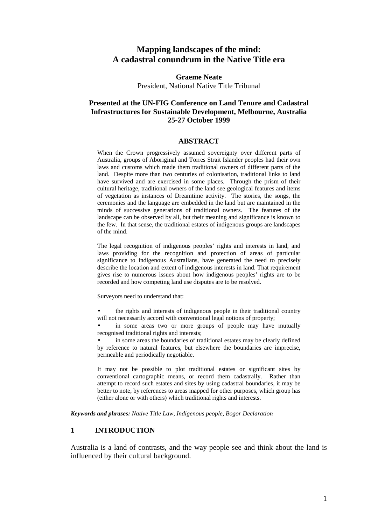# **Mapping landscapes of the mind: A cadastral conundrum in the Native Title era**

#### **Graeme Neate**

President, National Native Title Tribunal

### **Presented at the UN-FIG Conference on Land Tenure and Cadastral Infrastructures for Sustainable Development, Melbourne, Australia 25-27 October 1999**

#### **ABSTRACT**

When the Crown progressively assumed sovereignty over different parts of Australia, groups of Aboriginal and Torres Strait Islander peoples had their own laws and customs which made them traditional owners of different parts of the land. Despite more than two centuries of colonisation, traditional links to land have survived and are exercised in some places. Through the prism of their cultural heritage, traditional owners of the land see geological features and items of vegetation as instances of Dreamtime activity. The stories, the songs, the ceremonies and the language are embedded in the land but are maintained in the minds of successive generations of traditional owners. The features of the landscape can be observed by all, but their meaning and significance is known to the few. In that sense, the traditional estates of indigenous groups are landscapes of the mind.

The legal recognition of indigenous peoples' rights and interests in land, and laws providing for the recognition and protection of areas of particular significance to indigenous Australians, have generated the need to precisely describe the location and extent of indigenous interests in land. That requirement gives rise to numerous issues about how indigenous peoples' rights are to be recorded and how competing land use disputes are to be resolved.

Surveyors need to understand that:

- the rights and interests of indigenous people in their traditional country will not necessarily accord with conventional legal notions of property;
- in some areas two or more groups of people may have mutually recognised traditional rights and interests;

in some areas the boundaries of traditional estates may be clearly defined by reference to natural features, but elsewhere the boundaries are imprecise, permeable and periodically negotiable.

It may not be possible to plot traditional estates or significant sites by conventional cartographic means, or record them cadastrally. Rather than attempt to record such estates and sites by using cadastral boundaries, it may be better to note, by references to areas mapped for other purposes, which group has (either alone or with others) which traditional rights and interests.

*Keywords and phrases: Native Title Law, Indigenous people, Bogor Declaration*

#### **1 INTRODUCTION**

Australia is a land of contrasts, and the way people see and think about the land is influenced by their cultural background.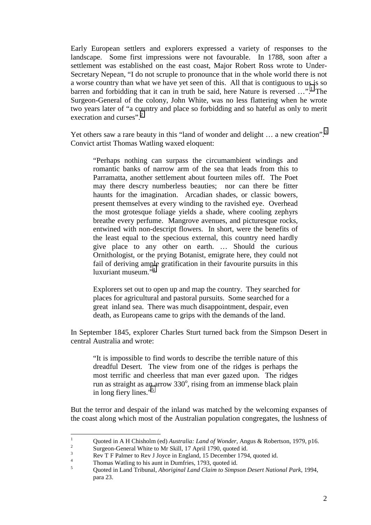Early European settlers and explorers expressed a variety of responses to the landscape. Some first impressions were not favourable. In 1788, soon after a settlement was established on the east coast, Major Robert Ross wrote to Under-Secretary Nepean, "I do not scruple to pronounce that in the whole world there is not a worse country than what we have yet seen of this. All that is contiguous to us is so barren and forbidding that it can in truth be said, here Nature is reversed ...".<sup>1</sup> The Surgeon-General of the colony, John White, was no less flattering when he wrote two years later of "a country and place so forbidding and so hateful as only to merit execration and curses".<sup>2</sup>

Yet others saw a rare beauty in this "land of wonder and delight ... a new creation".<sup>3</sup> Convict artist Thomas Watling waxed eloquent:

"Perhaps nothing can surpass the circumambient windings and romantic banks of narrow arm of the sea that leads from this to Parramatta, another settlement about fourteen miles off. The Poet may there descry numberless beauties; nor can there be fitter haunts for the imagination. Arcadian shades, or classic bowers, present themselves at every winding to the ravished eye. Overhead the most grotesque foliage yields a shade, where cooling zephyrs breathe every perfume. Mangrove avenues, and picturesque rocks, entwined with non-descript flowers. In short, were the benefits of the least equal to the specious external, this country need hardly give place to any other on earth. … Should the curious Ornithologist, or the prying Botanist, emigrate here, they could not fail of deriving ample gratification in their favourite pursuits in this luxuriant museum."<sup>4</sup>

Explorers set out to open up and map the country. They searched for places for agricultural and pastoral pursuits. Some searched for a great inland sea. There was much disappointment, despair, even death, as Europeans came to grips with the demands of the land.

In September 1845, explorer Charles Sturt turned back from the Simpson Desert in central Australia and wrote:

"It is impossible to find words to describe the terrible nature of this dreadful Desert. The view from one of the ridges is perhaps the most terrific and cheerless that man ever gazed upon. The ridges run as straight as an arrow 330°, rising from an immense black plain in long fiery lines."<sup>5</sup>

But the terror and despair of the inland was matched by the welcoming expanses of the coast along which most of the Australian population congregates, the lushness of

 $\frac{1}{1}$ quoted in A H Chisholm (ed) *Australia: Land of Wonder*, Angus & Robertson, 1979, p16.

Surgeon-General White to Mr Skill, 17 April 1790, quoted id. 3

Rev T F Palmer to Rev J Joyce in England, 15 December 1794, quoted id.

<sup>4</sup> Thomas Watling to his aunt in Dumfries, 1793, quoted id. 5

Quoted in Land Tribunal, *Aboriginal Land Claim to Simpson Desert National Park*, 1994, para 23.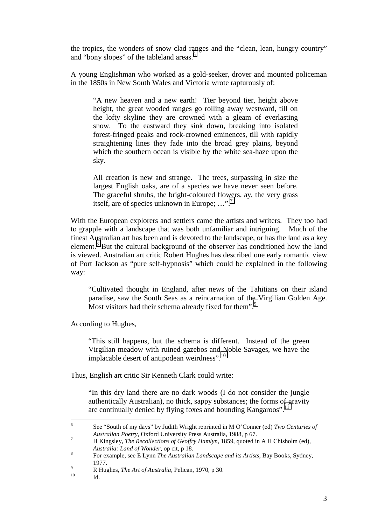the tropics, the wonders of snow clad ranges and the "clean, lean, hungry country" and "bony slopes" of the tableland areas.<sup>6</sup>

A young Englishman who worked as a gold-seeker, drover and mounted policeman in the 1850s in New South Wales and Victoria wrote rapturously of:

"A new heaven and a new earth! Tier beyond tier, height above height, the great wooded ranges go rolling away westward, till on the lofty skyline they are crowned with a gleam of everlasting snow. To the eastward they sink down, breaking into isolated forest-fringed peaks and rock-crowned eminences, till with rapidly straightening lines they fade into the broad grey plains, beyond which the southern ocean is visible by the white sea-haze upon the sky.

All creation is new and strange. The trees, surpassing in size the largest English oaks, are of a species we have never seen before. The graceful shrubs, the bright-coloured flowers, ay, the very grass itself, are of species unknown in Europe: ...".<sup>7</sup>

With the European explorers and settlers came the artists and writers. They too had to grapple with a landscape that was both unfamiliar and intriguing. Much of the finest Australian art has been and is devoted to the landscape, or has the land as a key element.<sup>8</sup> But the cultural background of the observer has conditioned how the land is viewed. Australian art critic Robert Hughes has described one early romantic view of Port Jackson as "pure self-hypnosis" which could be explained in the following way:

"Cultivated thought in England, after news of the Tahitians on their island paradise, saw the South Seas as a reincarnation of the Virgilian Golden Age. Most visitors had their schema already fixed for them".<sup>9</sup>

According to Hughes,

"This still happens, but the schema is different. Instead of the green Virgilian meadow with ruined gazebos and Noble Savages, we have the implacable desert of antipodean weirdness".<sup>10</sup>

Thus, English art critic Sir Kenneth Clark could write:

"In this dry land there are no dark woods (I do not consider the jungle authentically Australian), no thick, sappy substances; the forms of gravity are continually denied by flying foxes and bounding Kangaroos".<sup>11</sup>

 6 See "South of my days" by Judith Wright reprinted in M O'Conner (ed) *Two Centuries of Australian Poetry*, Oxford University Press Australia, 1988, p 67. <sup>7</sup>

H Kingsley, *The Recollections of Geoffry Hamlyn*, 1859, quoted in A H Chisholm (ed), *Australia: Land of Wonder,* op cit, p 18. <sup>8</sup>

For example, see E Lynn *The Australian Landscape and its Artists*, Bay Books, Sydney,  $^{1977.}$ 

<sup>&</sup>lt;sup>9</sup><br>R Hughes, *The Art of Australia*, Pelican, 1970, p 30.<br>Id.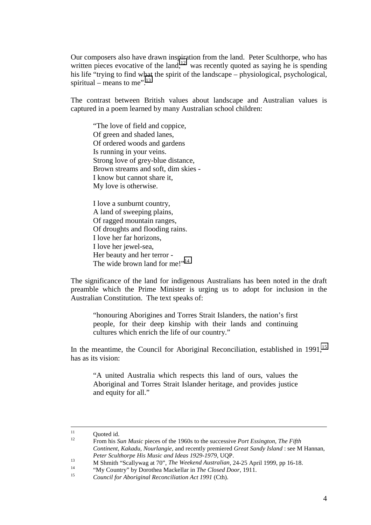Our composers also have drawn inspiration from the land. Peter Sculthorpe, who has written pieces evocative of the land, $12$  was recently quoted as saying he is spending his life "trying to find what the spirit of the landscape – physiological, psychological, spiritual – means to me". $^{13}$ 

The contrast between British values about landscape and Australian values is captured in a poem learned by many Australian school children:

"The love of field and coppice, Of green and shaded lanes, Of ordered woods and gardens Is running in your veins. Strong love of grey-blue distance, Brown streams and soft, dim skies - I know but cannot share it, My love is otherwise.

I love a sunburnt country, A land of sweeping plains, Of ragged mountain ranges, Of droughts and flooding rains. I love her far horizons, I love her jewel-sea, Her beauty and her terror - The wide brown land for me!"<sup>14</sup>

The significance of the land for indigenous Australians has been noted in the draft preamble which the Prime Minister is urging us to adopt for inclusion in the Australian Constitution. The text speaks of:

"honouring Aborigines and Torres Strait Islanders, the nation's first people, for their deep kinship with their lands and continuing cultures which enrich the life of our country."

In the meantime, the Council for Aboriginal Reconciliation, established in  $1991$ ,<sup>15</sup> has as its vision:

"A united Australia which respects this land of ours, values the Aboriginal and Torres Strait Islander heritage, and provides justice and equity for all."

 $\frac{11}{12}$  Quoted id.

<sup>12</sup> From his *Sun Music* pieces of the 1960s to the successive *Port Essington, The Fifth Continent, Kakadu, Nourlangie*, and recently premiered *Great Sandy Island* : see M Hannan,

<sup>&</sup>lt;sup>13</sup><br>M Shmith "Scallywag at 70", *The Weekend Australian*, 24-25 April 1999, pp 16-18.<br>"My Country" by Dorothea Mackellar in *The Closed Door*, 1911.<br>Council for Aboriginal Reconciliation Act 1991 (Cth).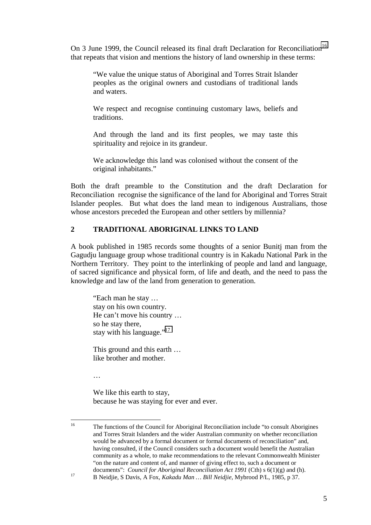On 3 June 1999, the Council released its final draft Declaration for Reconciliation<sup>16</sup> that repeats that vision and mentions the history of land ownership in these terms:

"We value the unique status of Aboriginal and Torres Strait Islander peoples as the original owners and custodians of traditional lands and waters.

We respect and recognise continuing customary laws, beliefs and traditions.

And through the land and its first peoples, we may taste this spirituality and rejoice in its grandeur.

We acknowledge this land was colonised without the consent of the original inhabitants."

Both the draft preamble to the Constitution and the draft Declaration for Reconciliation recognise the significance of the land for Aboriginal and Torres Strait Islander peoples. But what does the land mean to indigenous Australians, those whose ancestors preceded the European and other settlers by millennia?

# **2 TRADITIONAL ABORIGINAL LINKS TO LAND**

A book published in 1985 records some thoughts of a senior Bunitj man from the Gagudju language group whose traditional country is in Kakadu National Park in the Northern Territory. They point to the interlinking of people and land and language, of sacred significance and physical form, of life and death, and the need to pass the knowledge and law of the land from generation to generation.

"Each man he stay … stay on his own country. He can't move his country … so he stay there, stay with his language."<sup>17</sup>

This ground and this earth … like brother and mother.

…

We like this earth to stay, because he was staying for ever and ever.

<sup>16</sup> 16 The functions of the Council for Aboriginal Reconciliation include "to consult Aborigines and Torres Strait Islanders and the wider Australian community on whether reconciliation would be advanced by a formal document or formal documents of reconciliation" and, having consulted, if the Council considers such a document would benefit the Australian community as a whole, to make recommendations to the relevant Commonwealth Minister "on the nature and content of, and manner of giving effect to, such a document or

documents": *Council for Aboriginal Reconciliation Act 1991* (Cth) s 6(1)(g) and (h).<br>
B Neidjie, S Davis, A Fox, *Kakadu Man ... Bill Neidjie*, Mybrood P/L, 1985, p 37.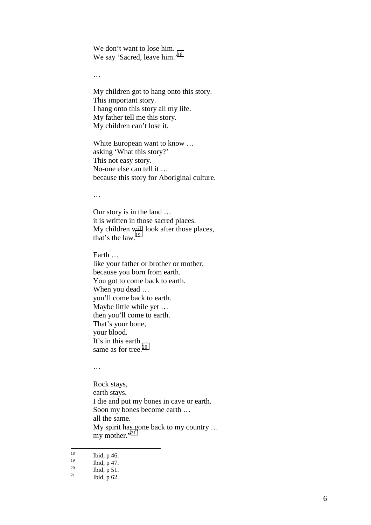We don't want to lose him. We say 'Sacred, leave him.'<sup>18</sup>

…

My children got to hang onto this story. This important story. I hang onto this story all my life. My father tell me this story. My children can't lose it.

White European want to know … asking 'What this story?' This not easy story. No-one else can tell it … because this story for Aboriginal culture.

…

Our story is in the land … it is written in those sacred places. My children will look after those places, that's the law.<sup>19</sup>

Earth … like your father or brother or mother, because you born from earth. You got to come back to earth. When you dead … you'll come back to earth. Maybe little while yet … then you'll come to earth. That's your bone, your blood. It's in this earth same as for tree.<sup>20</sup>

…

Rock stays, earth stays. I die and put my bones in cave or earth. Soon my bones become earth … all the same. My spirit has gone back to my country … my mother."<sup>21</sup>

<sup>18</sup>  $\frac{18}{19}$  Ibid, p 46.

 $\frac{19}{20}$  Ibid, p 47.

 $\frac{20}{21}$  Ibid, p 51.

Ibid, p 62.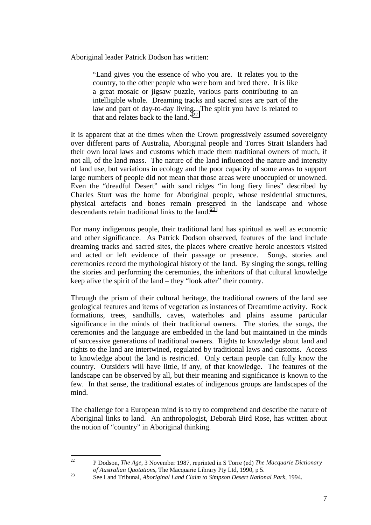Aboriginal leader Patrick Dodson has written:

"Land gives you the essence of who you are. It relates you to the country, to the other people who were born and bred there. It is like a great mosaic or jigsaw puzzle, various parts contributing to an intelligible whole. Dreaming tracks and sacred sites are part of the law and part of day-to-day living. The spirit you have is related to that and relates back to the land."<sup>2</sup>

It is apparent that at the times when the Crown progressively assumed sovereignty over different parts of Australia, Aboriginal people and Torres Strait Islanders had their own local laws and customs which made them traditional owners of much, if not all, of the land mass. The nature of the land influenced the nature and intensity of land use, but variations in ecology and the poor capacity of some areas to support large numbers of people did not mean that those areas were unoccupied or unowned. Even the "dreadful Desert" with sand ridges "in long fiery lines" described by Charles Sturt was the home for Aboriginal people, whose residential structures, physical artefacts and bones remain preserved in the landscape and whose descendants retain traditional links to the land. $^{23}$ 

For many indigenous people, their traditional land has spiritual as well as economic and other significance. As Patrick Dodson observed, features of the land include dreaming tracks and sacred sites, the places where creative heroic ancestors visited and acted or left evidence of their passage or presence. Songs, stories and ceremonies record the mythological history of the land. By singing the songs, telling the stories and performing the ceremonies, the inheritors of that cultural knowledge keep alive the spirit of the land – they "look after" their country.

Through the prism of their cultural heritage, the traditional owners of the land see geological features and items of vegetation as instances of Dreamtime activity. Rock formations, trees, sandhills, caves, waterholes and plains assume particular significance in the minds of their traditional owners. The stories, the songs, the ceremonies and the language are embedded in the land but maintained in the minds of successive generations of traditional owners. Rights to knowledge about land and rights to the land are intertwined, regulated by traditional laws and customs. Access to knowledge about the land is restricted. Only certain people can fully know the country. Outsiders will have little, if any, of that knowledge. The features of the landscape can be observed by all, but their meaning and significance is known to the few. In that sense, the traditional estates of indigenous groups are landscapes of the mind.

The challenge for a European mind is to try to comprehend and describe the nature of Aboriginal links to land. An anthropologist, Deborah Bird Rose, has written about the notion of "country" in Aboriginal thinking.

 $22$ 

<sup>22</sup> P Dodson, *The Age*, 3 November 1987, reprinted in S Torre (ed) *The Macquarie Dictionary of Australian Quotations*, The Macquarie Library Pty Ltd, 1990, p 5. 23 See Land Tribunal, *Aboriginal Land Claim to Simpson Desert National Park,* 1994.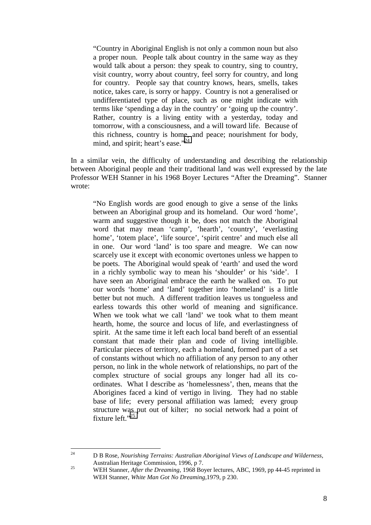"Country in Aboriginal English is not only a common noun but also a proper noun. People talk about country in the same way as they would talk about a person: they speak to country, sing to country, visit country, worry about country, feel sorry for country, and long for country. People say that country knows, hears, smells, takes notice, takes care, is sorry or happy. Country is not a generalised or undifferentiated type of place, such as one might indicate with terms like 'spending a day in the country' or 'going up the country'. Rather, country is a living entity with a yesterday, today and tomorrow, with a consciousness, and a will toward life. Because of this richness, country is home, and peace; nourishment for body, mind, and spirit; heart's ease."<sup>24</sup>

In a similar vein, the difficulty of understanding and describing the relationship between Aboriginal people and their traditional land was well expressed by the late Professor WEH Stanner in his 1968 Boyer Lectures "After the Dreaming". Stanner wrote:

"No English words are good enough to give a sense of the links between an Aboriginal group and its homeland. Our word 'home', warm and suggestive though it be, does not match the Aboriginal word that may mean 'camp', 'hearth', 'country', 'everlasting home', 'totem place', 'life source', 'spirit centre' and much else all in one. Our word 'land' is too spare and meagre. We can now scarcely use it except with economic overtones unless we happen to be poets. The Aboriginal would speak of 'earth' and used the word in a richly symbolic way to mean his 'shoulder' or his 'side'. I have seen an Aboriginal embrace the earth he walked on. To put our words 'home' and 'land' together into 'homeland' is a little better but not much. A different tradition leaves us tongueless and earless towards this other world of meaning and significance. When we took what we call 'land' we took what to them meant hearth, home, the source and locus of life, and everlastingness of spirit. At the same time it left each local band bereft of an essential constant that made their plan and code of living intelligible. Particular pieces of territory, each a homeland, formed part of a set of constants without which no affiliation of any person to any other person, no link in the whole network of relationships, no part of the complex structure of social groups any longer had all its coordinates. What I describe as 'homelessness', then, means that the Aborigines faced a kind of vertigo in living. They had no stable base of life; every personal affiliation was lamed; every group structure was put out of kilter; no social network had a point of fixture left."<sup>25</sup>

 $24$ 24 D B Rose, *Nourishing Terrains: Australian Aboriginal Views of Landscape and Wilderness*, Australian Heritage Commission, 1996, p 7. 25 WEH Stanner, *After the Dreaming,* 1968 Boyer lectures, ABC, 1969, pp 44-45 reprinted in

WEH Stanner, *White Man Got No Dreaming,*1979, p 230.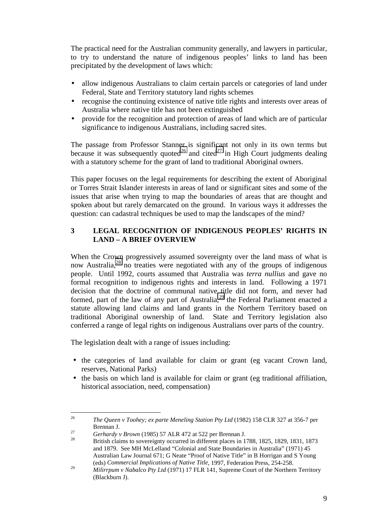The practical need for the Australian community generally, and lawyers in particular, to try to understand the nature of indigenous peoples' links to land has been precipitated by the development of laws which:

- allow indigenous Australians to claim certain parcels or categories of land under Federal, State and Territory statutory land rights schemes
- recognise the continuing existence of native title rights and interests over areas of Australia where native title has not been extinguished
- provide for the recognition and protection of areas of land which are of particular significance to indigenous Australians, including sacred sites.

The passage from Professor Stanner is significant not only in its own terms but because it was subsequently quoted<sup>26</sup> and cited<sup>27</sup> in High Court judgments dealing with a statutory scheme for the grant of land to traditional Aboriginal owners.

This paper focuses on the legal requirements for describing the extent of Aboriginal or Torres Strait Islander interests in areas of land or significant sites and some of the issues that arise when trying to map the boundaries of areas that are thought and spoken about but rarely demarcated on the ground. In various ways it addresses the question: can cadastral techniques be used to map the landscapes of the mind?

# **3 LEGAL RECOGNITION OF INDIGENOUS PEOPLES' RIGHTS IN LAND – A BRIEF OVERVIEW**

When the Crown progressively assumed sovereignty over the land mass of what is now Australia,  $28$  no treaties were negotiated with any of the groups of indigenous people. Until 1992, courts assumed that Australia was *terra nullius* and gave no formal recognition to indigenous rights and interests in land. Following a 1971 decision that the doctrine of communal native title did not form, and never had formed, part of the law of any part of Australia,<sup>29</sup> the Federal Parliament enacted a statute allowing land claims and land grants in the Northern Territory based on traditional Aboriginal ownership of land. State and Territory legislation also conferred a range of legal rights on indigenous Australians over parts of the country.

The legislation dealt with a range of issues including:

- the categories of land available for claim or grant (eg vacant Crown land, reserves, National Parks)
- the basis on which land is available for claim or grant (eg traditional affiliation, historical association, need, compensation)

 $\overline{a}$ 

<sup>26</sup> *The Queen v Toohey; ex parte Meneling Station Pty Ltd* (1982) 158 CLR 327 at 356-7 per Brennan J.<br>
27 *Gerhardy v Brown* (1985) 57 ALR 472 at 522 per Brennan J.<br>
28 British claims to sovereignty occurred in different places in 1788, 1825, 1829, 1831, 1873

and 1879. See MH McLelland "Colonial and State Boundaries in Australia" (1971) 45 Australian Law Journal 671; G Neate "Proof of Native Title" in B Horrigan and S Young (eds) *Commercial Implications of Native Title*, 1997, Federation Press, 254-258.

<sup>29</sup> *Milirrpum v Nabalco Pty Ltd* (1971) 17 FLR 141, Supreme Court of the Northern Territory (Blackburn J).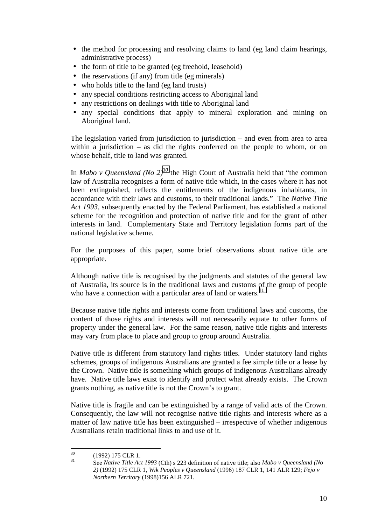- the method for processing and resolving claims to land (eg land claim hearings, administrative process)
- the form of title to be granted (eg freehold, leasehold)
- the reservations (if any) from title (eg minerals)
- who holds title to the land (eg land trusts)
- any special conditions restricting access to Aboriginal land
- any restrictions on dealings with title to Aboriginal land
- any special conditions that apply to mineral exploration and mining on Aboriginal land.

The legislation varied from jurisdiction to jurisdiction – and even from area to area within a jurisdiction – as did the rights conferred on the people to whom, or on whose behalf, title to land was granted.

In *Mabo v Queensland* (*No 2*)<sup>30</sup> the High Court of Australia held that "the common law of Australia recognises a form of native title which, in the cases where it has not been extinguished, reflects the entitlements of the indigenous inhabitants, in accordance with their laws and customs, to their traditional lands." The *Native Title Act 1993*, subsequently enacted by the Federal Parliament, has established a national scheme for the recognition and protection of native title and for the grant of other interests in land. Complementary State and Territory legislation forms part of the national legislative scheme.

For the purposes of this paper, some brief observations about native title are appropriate.

Although native title is recognised by the judgments and statutes of the general law of Australia, its source is in the traditional laws and customs of the group of people who have a connection with a particular area of land or waters. $31$ 

Because native title rights and interests come from traditional laws and customs, the content of those rights and interests will not necessarily equate to other forms of property under the general law. For the same reason, native title rights and interests may vary from place to place and group to group around Australia.

Native title is different from statutory land rights titles. Under statutory land rights schemes, groups of indigenous Australians are granted a fee simple title or a lease by the Crown. Native title is something which groups of indigenous Australians already have. Native title laws exist to identify and protect what already exists. The Crown grants nothing, as native title is not the Crown's to grant.

Native title is fragile and can be extinguished by a range of valid acts of the Crown. Consequently, the law will not recognise native title rights and interests where as a matter of law native title has been extinguished – irrespective of whether indigenous Australians retain traditional links to and use of it.

 $30^{\circ}$  $^{30}$  (1992) 175 CLR 1.

<sup>31</sup> See *Native Title Act 1993* (Cth) s 223 definition of native title; also *Mabo v Queensland (No 2)* (1992) 175 CLR 1, *Wik Peoples v Queensland* (1996) 187 CLR 1, 141 ALR 129; *Fejo v Northern Territory* (1998)156 ALR 721.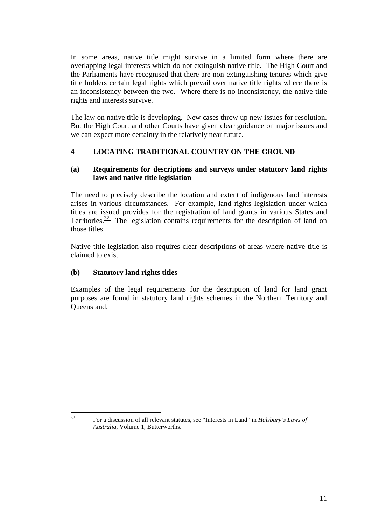In some areas, native title might survive in a limited form where there are overlapping legal interests which do not extinguish native title. The High Court and the Parliaments have recognised that there are non-extinguishing tenures which give title holders certain legal rights which prevail over native title rights where there is an inconsistency between the two. Where there is no inconsistency, the native title rights and interests survive.

The law on native title is developing. New cases throw up new issues for resolution. But the High Court and other Courts have given clear guidance on major issues and we can expect more certainty in the relatively near future.

# **4 LOCATING TRADITIONAL COUNTRY ON THE GROUND**

## **(a) Requirements for descriptions and surveys under statutory land rights laws and native title legislation**

The need to precisely describe the location and extent of indigenous land interests arises in various circumstances. For example, land rights legislation under which titles are issued provides for the registration of land grants in various States and Territories.32 The legislation contains requirements for the description of land on those titles.

Native title legislation also requires clear descriptions of areas where native title is claimed to exist.

# **(b) Statutory land rights titles**

Examples of the legal requirements for the description of land for land grant purposes are found in statutory land rights schemes in the Northern Territory and Queensland.

32 For a discussion of all relevant statutes, see "Interests in Land" in *Halsbury's Laws of Australia*, Volume 1, Butterworths.

 $32$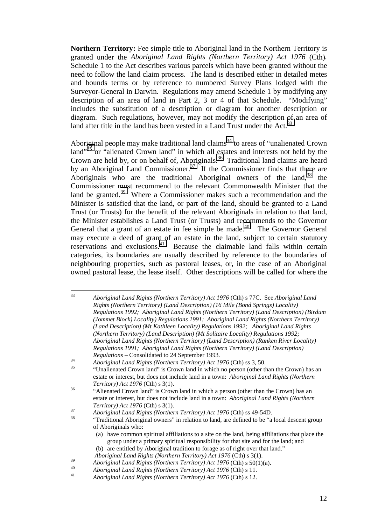**Northern Territory:** Fee simple title to Aboriginal land in the Northern Territory is granted under the *Aboriginal Land Rights (Northern Territory) Act 1976* (Cth)*.* Schedule 1 to the Act describes various parcels which have been granted without the need to follow the land claim process. The land is described either in detailed metes and bounds terms or by reference to numbered Survey Plans lodged with the Surveyor-General in Darwin. Regulations may amend Schedule 1 by modifying any description of an area of land in Part 2, 3 or 4 of that Schedule. "Modifying" includes the substitution of a description or diagram for another description or diagram. Such regulations, however, may not modify the description of an area of land after title in the land has been vested in a Land Trust under the Act.<sup>33</sup>

Aboriginal people may make traditional land claims<sup>34</sup> to areas of "unalienated Crown" land"<sup>35</sup> or "alienated Crown land" in which all estates and interests not held by the Crown are held by, or on behalf of, Aboriginals.<sup>36</sup> Traditional land claims are heard by an Aboriginal Land Commissioner.<sup>37</sup> If the Commissioner finds that there are Aboriginals who are the traditional Aboriginal owners of the land,<sup>38</sup> the Commissioner must recommend to the relevant Commonwealth Minister that the land be granted.<sup>39</sup> Where a Commissioner makes such a recommendation and the Minister is satisfied that the land, or part of the land, should be granted to a Land Trust (or Trusts) for the benefit of the relevant Aboriginals in relation to that land, the Minister establishes a Land Trust (or Trusts) and recommends to the Governor General that a grant of an estate in fee simple be made. $40$  The Governor General may execute a deed of grant of an estate in the land, subject to certain statutory reservations and exclusions.<sup>41</sup> Because the claimable land falls within certain categories, its boundaries are usually described by reference to the boundaries of neighbouring properties, such as pastoral leases, or, in the case of an Aboriginal owned pastoral lease, the lease itself. Other descriptions will be called for where the

 $33$ <sup>33</sup> *Aboriginal Land Rights (Northern Territory) Act 1976* (Cth) s 77C. See *Aboriginal Land Rights (Northern Territory) (Land Description) (16 Mile (Bond Springs) Locality) Regulations 1992; Aboriginal Land Rights (Northern Territory) (Land Description) (Birdum (Jommet Block) Locality) Regulations 1991; Aboriginal Land Rights (Northern Territory) (Land Description) (Mt Kathleen Locality) Regulations 1992; Aboriginal Land Rights (Northern Territory) (Land Description) (Mt Solitaire Locality) Regulations 1992; Aboriginal Land Rights (Northern Territory) (Land Description) (Ranken River Locality) Regulations 1991; Aboriginal Land Rights (Northern Territory) (Land Description)*

Regulations – Consolidated to 24 September 1993.<br>
Aboriginal Land Rights (Northern Territory) Act 1976 (Cth) ss 3, 50.<br>
"Unalienated Crown land" is Crown land in which no person (other than the Crown) has an estate or interest, but does not include land in a town: *Aboriginal Land Rights (Northern*

*Territory) Act 1976* (Cth) s 3(1).<br><sup>36</sup> "Alienated Crown land" is Crown land in which a person (other than the Crown) has an estate or interest, but does not include land in a town: *Aboriginal Land Rights (Northern*

*Territory) Act 1976* (Cth) s 3(1).<br>37 *Aboriginal Land Rights (Northern Territory) Act 1976* (Cth) ss 49-54D.<br><sup>38</sup> "Traditional Aboriginal owners" in relation to land, are defined to be "a local descent group" of Aboriginals who:

<sup>(</sup>a) have common spiritual affiliations to a site on the land, being affiliations that place the group under a primary spiritual responsibility for that site and for the land; and (b) are entitled by Aboriginal tradition to forage as of right over that land."

*Aboriginal Land Rights (Northern Territory) Act 1976* (Cth) s 3(1).

Aboriginal Land Rights (Northern Territory) Act 1976 (Cth) s 50(1)(a).<br>
Aboriginal Land Rights (Northern Territory) Act 1976 (Cth) s 50(1)(a).<br>
Aboriginal Land Rights (Northern Territory) Act 1976 (Cth) s 11.<br>
Aboriginal L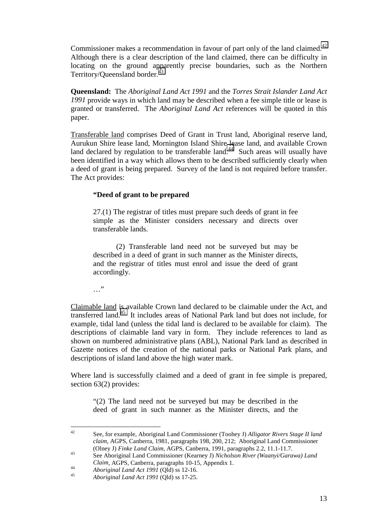Commissioner makes a recommendation in favour of part only of the land claimed.<sup>42</sup> Although there is a clear description of the land claimed, there can be difficulty in locating on the ground apparently precise boundaries, such as the Northern Territory/Oueensland border.<sup>43</sup>

**Queensland:** The *Aboriginal Land Act 1991* and the *Torres Strait Islander Land Act 1991* provide ways in which land may be described when a fee simple title or lease is granted or transferred. The *Aboriginal Land Act* references will be quoted in this paper.

Transferable land comprises Deed of Grant in Trust land, Aboriginal reserve land, Aurukun Shire lease land, Mornington Island Shire lease land, and available Crown land declared by regulation to be transferable land.<sup>44</sup> Such areas will usually have been identified in a way which allows them to be described sufficiently clearly when a deed of grant is being prepared. Survey of the land is not required before transfer. The Act provides:

### **"Deed of grant to be prepared**

27.(1) The registrar of titles must prepare such deeds of grant in fee simple as the Minister considers necessary and directs over transferable lands.

 (2) Transferable land need not be surveyed but may be described in a deed of grant in such manner as the Minister directs, and the registrar of titles must enrol and issue the deed of grant accordingly.

…"

Claimable land is available Crown land declared to be claimable under the Act, and transferred land.45 It includes areas of National Park land but does not include, for example, tidal land (unless the tidal land is declared to be available for claim). The descriptions of claimable land vary in form. They include references to land as shown on numbered administrative plans (ABL), National Park land as described in Gazette notices of the creation of the national parks or National Park plans, and descriptions of island land above the high water mark.

Where land is successfully claimed and a deed of grant in fee simple is prepared, section 63(2) provides:

"(2) The land need not be surveyed but may be described in the deed of grant in such manner as the Minister directs, and the

 $42$ 42 See, for example, Aboriginal Land Commissioner (Toohey J) *Alligator Rivers Stage II land claim,* AGPS, Canberra, 1981, paragraphs 198, 200, 212; Aboriginal Land Commissioner

<sup>(</sup>Olney J) *Finke Land Claim*, AGPS, Canberra, 1991, paragraphs 2.2, 11.1-11.7.<br><sup>43</sup> See Aboriginal Land Commissioner (Kearney J) *Nicholson River (Waanyi/Garawa) Land Claim*, AGPS, Canberra, paragraphs 10-15, Appendix 1.<br> *Aboriginal Land Act 1991* (Qld) ss 12-16.<br> *Aboriginal Land Act 1991* (Qld) ss 17-25.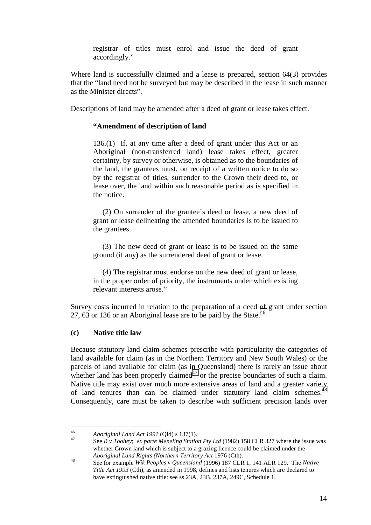registrar of titles must enrol and issue the deed of grant accordingly."

Where land is successfully claimed and a lease is prepared, section 64(3) provides that the "land need not be surveyed but may be described in the lease in such manner as the Minister directs".

Descriptions of land may be amended after a deed of grant or lease takes effect.

### **"Amendment of description of land**

136.(1) If, at any time after a deed of grant under this Act or an Aboriginal (non-transferred land) lease takes effect, greater certainty, by survey or otherwise, is obtained as to the boundaries of the land, the grantees must, on receipt of a written notice to do so by the registrar of titles, surrender to the Crown their deed to, or lease over, the land within such reasonable period as is specified in the notice.

 (2) On surrender of the grantee's deed or lease, a new deed of grant or lease delineating the amended boundaries is to be issued to the grantees.

 (3) The new deed of grant or lease is to be issued on the same ground (if any) as the surrendered deed of grant or lease.

 (4) The registrar must endorse on the new deed of grant or lease, in the proper order of priority, the instruments under which existing relevant interests arose."

Survey costs incurred in relation to the preparation of a deed of grant under section 27, 63 or 136 or an Aboriginal lease are to be paid by the State. $46$ 

#### **(c) Native title law**

Because statutory land claim schemes prescribe with particularity the categories of land available for claim (as in the Northern Territory and New South Wales) or the parcels of land available for claim (as in Queensland) there is rarely an issue about whether land has been properly claimed<sup>47</sup> or the precise boundaries of such a claim. Native title may exist over much more extensive areas of land and a greater variety of land tenures than can be claimed under statutory land claim schemes.<sup>48</sup> Consequently, care must be taken to describe with sufficient precision lands over

 $46$ 

<sup>46</sup> *Aboriginal Land Act 1991* (Qld) s 137(1). 47 See *R v Toohey*; *ex parte Meneling Station Pty Ltd* (1982) 158 CLR 327 where the issue was whether Crown land which is subject to a grazing licence could be claimed under the *Aboriginal Land Rights (Northern Territory Act* 1976 (Cth).<br><sup>48</sup> See for example *Wik Peoples v Queensland* (1996) 187 CLR 1, 141 ALR 129. The *Native* 

*Title Act 1993* (Cth), as amended in 1998, defines and lists tenures which are declared to have extinguished native title: see ss 23A, 23B, 237A, 249C, Schedule 1.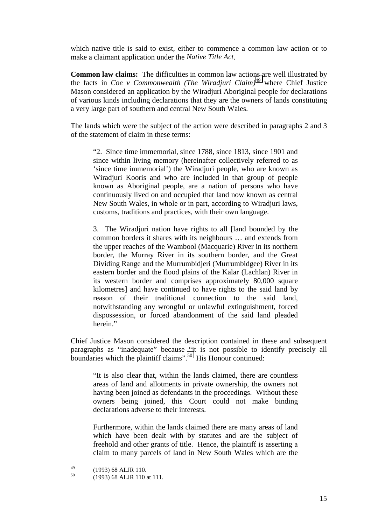which native title is said to exist, either to commence a common law action or to make a claimant application under the *Native Title Act*.

**Common law claims:** The difficulties in common law actions are well illustrated by the facts in *Coe v Commonwealth (The Wiradjuri Claim)*<sup>49</sup> where Chief Justice Mason considered an application by the Wiradjuri Aboriginal people for declarations of various kinds including declarations that they are the owners of lands constituting a very large part of southern and central New South Wales.

The lands which were the subject of the action were described in paragraphs 2 and 3 of the statement of claim in these terms:

"2. Since time immemorial, since 1788, since 1813, since 1901 and since within living memory (hereinafter collectively referred to as 'since time immemorial') the Wiradjuri people, who are known as Wiradjuri Kooris and who are included in that group of people known as Aboriginal people, are a nation of persons who have continuously lived on and occupied that land now known as central New South Wales, in whole or in part, according to Wiradjuri laws, customs, traditions and practices, with their own language.

3. The Wiradjuri nation have rights to all [land bounded by the common borders it shares with its neighbours … and extends from the upper reaches of the Wambool (Macquarie) River in its northern border, the Murray River in its southern border, and the Great Dividing Range and the Murrumbidjeri (Murrumbidgee) River in its eastern border and the flood plains of the Kalar (Lachlan) River in its western border and comprises approximately 80,000 square kilometres] and have continued to have rights to the said land by reason of their traditional connection to the said land, notwithstanding any wrongful or unlawful extinguishment, forced dispossession, or forced abandonment of the said land pleaded herein."

Chief Justice Mason considered the description contained in these and subsequent paragraphs as "inadequate" because "it is not possible to identify precisely all boundaries which the plaintiff claims".<sup>50</sup> His Honour continued:

"It is also clear that, within the lands claimed, there are countless areas of land and allotments in private ownership, the owners not having been joined as defendants in the proceedings. Without these owners being joined, this Court could not make binding declarations adverse to their interests.

Furthermore, within the lands claimed there are many areas of land which have been dealt with by statutes and are the subject of freehold and other grants of title. Hence, the plaintiff is asserting a claim to many parcels of land in New South Wales which are the

<sup>49</sup>  $^{49}$  (1993) 68 ALJR 110.

<sup>50 (1993) 68</sup> ALJR 110 at 111.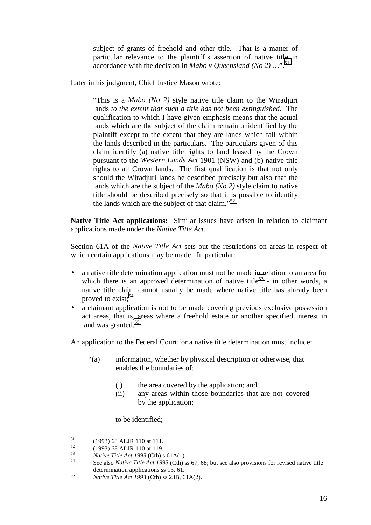subject of grants of freehold and other title. That is a matter of particular relevance to the plaintiff's assertion of native title in accordance with the decision in *Mabo v Queensland (No 2)* ...".<sup>51</sup>

Later in his judgment, Chief Justice Mason wrote:

"This is a *Mabo (No 2)* style native title claim to the Wiradjuri lands *to the extent that such a title has not been extinguished.* The qualification to which I have given emphasis means that the actual lands which are the subject of the claim remain unidentified by the plaintiff except to the extent that they are lands which fall within the lands described in the particulars. The particulars given of this claim identify (a) native title rights to land leased by the Crown pursuant to the *Western Lands Act* 1901 (NSW) and (b) native title rights to all Crown lands. The first qualification is that not only should the Wiradjuri lands be described precisely but also that the lands which are the subject of the *Mabo (No 2)* style claim to native title should be described precisely so that it is possible to identify the lands which are the subject of that claim."<sup>52</sup>

**Native Title Act applications:** Similar issues have arisen in relation to claimant applications made under the *Native Title Act.*

Section 61A of the *Native Title Act* sets out the restrictions on areas in respect of which certain applications may be made. In particular:

- a native title determination application must not be made in relation to an area for which there is an approved determination of native title<sup>53</sup> - in other words, a native title claim cannot usually be made where native title has already been proved to exist: $54$
- a claimant application is not to be made covering previous exclusive possession act areas, that is, areas where a freehold estate or another specified interest in land was granted.<sup>55</sup>

An application to the Federal Court for a native title determination must include:

- "(a) information, whether by physical description or otherwise, that enables the boundaries of:
	- (i) the area covered by the application; and
	- (ii) any areas within those boundaries that are not covered by the application;

to be identified;

 $51$  $^{51}$  (1993) 68 ALJR 110 at 111.

 $^{52}$  (1993) 68 ALJR 110 at 119.

<sup>&</sup>lt;sup>53</sup> *Native Title Act 1993* (Cth) s 61A(1).<br><sup>54</sup> See also *Native Title Act 1993* (Cth) ss 67, 68; but see also provisions for revised native title determination applications ss 13, 61. <sup>55</sup> *Native Title Act <sup>1993</sup>*(Cth) ss 23B, 61A(2).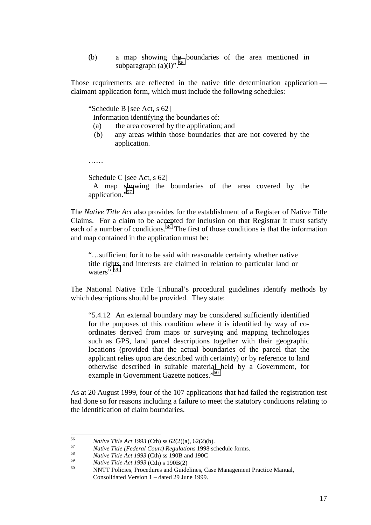(b) a map showing the boundaries of the area mentioned in subparagraph  $(a)(i)$ ".<sup>56</sup>

Those requirements are reflected in the native title determination application claimant application form, which must include the following schedules:

"Schedule B [see Act, s 62]

Information identifying the boundaries of:

- (a) the area covered by the application; and
- (b) any areas within those boundaries that are not covered by the application.
- ……

Schedule C [see Act, s 62]

A map showing the boundaries of the area covered by the application."<sup>57</sup>

The *Native Title Act* also provides for the establishment of a Register of Native Title Claims. For a claim to be accepted for inclusion on that Registrar it must satisfy each of a number of conditions.<sup>58</sup> The first of those conditions is that the information and map contained in the application must be:

"…sufficient for it to be said with reasonable certainty whether native title rights and interests are claimed in relation to particular land or waters".<sup>59</sup>

The National Native Title Tribunal's procedural guidelines identify methods by which descriptions should be provided. They state:

"5.4.12 An external boundary may be considered sufficiently identified for the purposes of this condition where it is identified by way of coordinates derived from maps or surveying and mapping technologies such as GPS, land parcel descriptions together with their geographic locations (provided that the actual boundaries of the parcel that the applicant relies upon are described with certainty) or by reference to land otherwise described in suitable material held by a Government, for example in Government Gazette notices."<sup>60</sup>

As at 20 August 1999, four of the 107 applications that had failed the registration test had done so for reasons including a failure to meet the statutory conditions relating to the identification of claim boundaries.

 $56$ 

<sup>56</sup> *Native Title Act 1993* (Cth) ss 62(2)(a), 62(2)(b). <sup>57</sup> *Native Title (Federal Court) Regulations* 1998 schedule forms. <sup>58</sup> *Native Title Act 1993* (Cth) ss 190B and 190C

<sup>&</sup>lt;sup>59</sup> *Native Title Act 1993* (Cth) s 190B(2)<br><sup>60</sup> NNTT Policies, Procedures and Guidelines, Case Management Practice Manual, Consolidated Version 1 – dated 29 June 1999.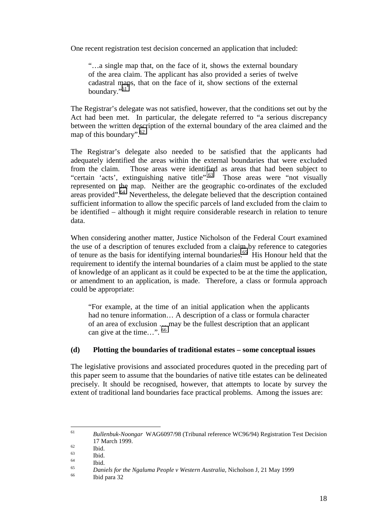One recent registration test decision concerned an application that included:

"…a single map that, on the face of it, shows the external boundary of the area claim. The applicant has also provided a series of twelve cadastral maps, that on the face of it, show sections of the external boundary."<sup>61</sup>

The Registrar's delegate was not satisfied, however, that the conditions set out by the Act had been met. In particular, the delegate referred to "a serious discrepancy between the written description of the external boundary of the area claimed and the map of this boundary".  $62$ 

The Registrar's delegate also needed to be satisfied that the applicants had adequately identified the areas within the external boundaries that were excluded from the claim. Those areas were identified as areas that had been subject to "certain 'acts', extinguishing native title".<sup>63</sup> Those areas were "not visually represented on the map. Neither are the geographic co-ordinates of the excluded areas provided". $64$  Nevertheless, the delegate believed that the description contained sufficient information to allow the specific parcels of land excluded from the claim to be identified – although it might require considerable research in relation to tenure data.

When considering another matter, Justice Nicholson of the Federal Court examined the use of a description of tenures excluded from a claim by reference to categories of tenure as the basis for identifying internal boundaries.<sup>65</sup> His Honour held that the requirement to identify the internal boundaries of a claim must be applied to the state of knowledge of an applicant as it could be expected to be at the time the application, or amendment to an application, is made. Therefore, a class or formula approach could be appropriate:

"For example, at the time of an initial application when the applicants had no tenure information… A description of a class or formula character of an area of exclusion … may be the fullest description that an applicant can give at the time...". <sup>66</sup>

# **(d) Plotting the boundaries of traditional estates – some conceptual issues**

The legislative provisions and associated procedures quoted in the preceding part of this paper seem to assume that the boundaries of native title estates can be delineated precisely. It should be recognised, however, that attempts to locate by survey the extent of traditional land boundaries face practical problems. Among the issues are:

<sup>61</sup> <sup>61</sup> *Bullenbuk-Noongar* WAG6097/98 (Tribunal reference WC96/94) Registration Test Decision 17 March 1999. 62 Ibid.

 $\begin{array}{cc}\n 63 \\
 64\n \end{array}$  Ibid.

 $\begin{array}{c}\n^{64} \\
\hline\n^{65}\n\end{array}$  Ibid.

<sup>&</sup>lt;sup>65</sup> *Daniels for the Ngaluma People v Western Australia, Nicholson J, 21 May 1999*<br><sup>66</sup> Ibid para 32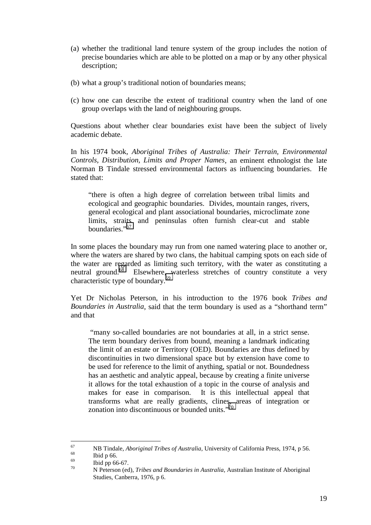- (a) whether the traditional land tenure system of the group includes the notion of precise boundaries which are able to be plotted on a map or by any other physical description;
- (b) what a group's traditional notion of boundaries means;
- (c) how one can describe the extent of traditional country when the land of one group overlaps with the land of neighbouring groups.

Questions about whether clear boundaries exist have been the subject of lively academic debate.

In his 1974 book, *Aboriginal Tribes of Australia: Their Terrain, Environmental Controls, Distribution, Limits and Proper Names*, an eminent ethnologist the late Norman B Tindale stressed environmental factors as influencing boundaries. He stated that:

"there is often a high degree of correlation between tribal limits and ecological and geographic boundaries. Divides, mountain ranges, rivers, general ecological and plant associational boundaries, microclimate zone limits, straits and peninsulas often furnish clear-cut and stable boundaries."<sup>67</sup>

In some places the boundary may run from one named watering place to another or, where the waters are shared by two clans, the habitual camping spots on each side of the water are regarded as limiting such territory, with the water as constituting a neutral ground.<sup>68</sup> Elsewhere, waterless stretches of country constitute a very characteristic type of boundary.<sup>69</sup>

Yet Dr Nicholas Peterson, in his introduction to the 1976 book *Tribes and Boundaries in Australia*, said that the term boundary is used as a "shorthand term" and that

 "many so-called boundaries are not boundaries at all, in a strict sense. The term boundary derives from bound, meaning a landmark indicating the limit of an estate or Territory (OED). Boundaries are thus defined by discontinuities in two dimensional space but by extension have come to be used for reference to the limit of anything, spatial or not. Boundedness has an aesthetic and analytic appeal, because by creating a finite universe it allows for the total exhaustion of a topic in the course of analysis and makes for ease in comparison. It is this intellectual appeal that transforms what are really gradients, clines, areas of integration or zonation into discontinuous or bounded units."<sup>70</sup>

<sup>67</sup> 67 NB Tindale, *Aboriginal Tribes of Australia*, University of California Press, 1974, p 56.<br>
68 Ibid p 66.<br>
<sup>69</sup>

 $^{69}$  Ibid pp 66-67.

<sup>70</sup> N Peterson (ed), *Tribes and Boundaries in Australia*, Australian Institute of Aboriginal Studies, Canberra, 1976, p 6.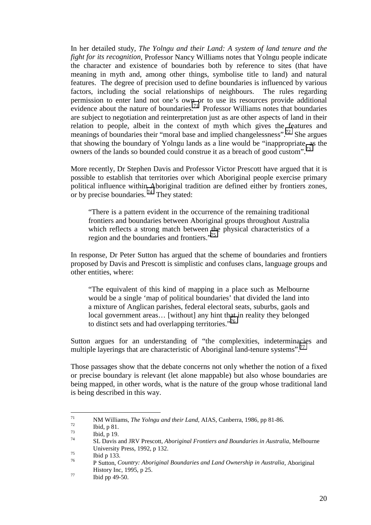In her detailed study, *The Yolngu and their Land: A system of land tenure and the fight for its recognition*, Professor Nancy Williams notes that Yolngu people indicate the character and existence of boundaries both by reference to sites (that have meaning in myth and, among other things, symbolise title to land) and natural features. The degree of precision used to define boundaries is influenced by various factors, including the social relationships of neighbours. The rules regarding permission to enter land not one's own or to use its resources provide additional evidence about the nature of boundaries.<sup>71</sup> Professor Williams notes that boundaries are subject to negotiation and reinterpretation just as are other aspects of land in their relation to people, albeit in the context of myth which gives the features and meanings of boundaries their "moral base and implied changelessness".72 She argues that showing the boundary of Yolngu lands as a line would be "inappropriate, as the owners of the lands so bounded could construe it as a breach of good custom".<sup>73</sup>

More recently, Dr Stephen Davis and Professor Victor Prescott have argued that it is possible to establish that territories over which Aboriginal people exercise primary political influence within Aboriginal tradition are defined either by frontiers zones, or by precise boundaries.<sup>74</sup> They stated:

"There is a pattern evident in the occurrence of the remaining traditional frontiers and boundaries between Aboriginal groups throughout Australia which reflects a strong match between the physical characteristics of a region and the boundaries and frontiers."<sup>75</sup>

In response, Dr Peter Sutton has argued that the scheme of boundaries and frontiers proposed by Davis and Prescott is simplistic and confuses clans, language groups and other entities, where:

"The equivalent of this kind of mapping in a place such as Melbourne would be a single 'map of political boundaries' that divided the land into a mixture of Anglican parishes, federal electoral seats, suburbs, gaols and local government areas… [without] any hint that in reality they belonged to distinct sets and had overlapping territories."<sup>76</sup>

Sutton argues for an understanding of "the complexities, indeterminacies and multiple layerings that are characteristic of Aboriginal land-tenure systems".<sup>77</sup>

Those passages show that the debate concerns not only whether the notion of a fixed or precise boundary is relevant (let alone mappable) but also whose boundaries are being mapped, in other words, what is the nature of the group whose traditional land is being described in this way.

<sup>71</sup> 71 NM Williams, *The Yolngu and their Land*, AIAS, Canberra, 1986, pp 81-86.<br>
Thid, p 81.<br>
Thid a 10.

 $\frac{73}{74}$  Ibid, p 19.

<sup>74</sup> SL Davis and JRV Prescott, *Aboriginal Frontiers and Boundaries in Australia*, Melbourne University Press, 1992, p 132.<br>
Ibid p 133.<br>  $\frac{76}{2}$ 

<sup>76</sup> P Sutton, *Country: Aboriginal Boundaries and Land Ownership in Australia*, Aboriginal History Inc, 1995, p 25.<br>
Thid pp 49-50.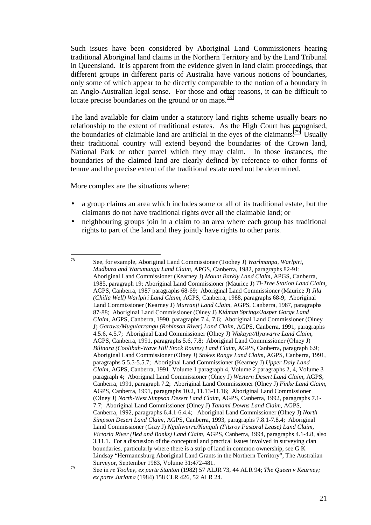Such issues have been considered by Aboriginal Land Commissioners hearing traditional Aboriginal land claims in the Northern Territory and by the Land Tribunal in Queensland. It is apparent from the evidence given in land claim proceedings, that different groups in different parts of Australia have various notions of boundaries, only some of which appear to be directly comparable to the notion of a boundary in an Anglo-Australian legal sense. For those and other reasons, it can be difficult to locate precise boundaries on the ground or on maps.<sup>78</sup>

The land available for claim under a statutory land rights scheme usually bears no relationship to the extent of traditional estates. As the High Court has recognised, the boundaries of claimable land are artificial in the eyes of the claimants.<sup>79</sup> Usually their traditional country will extend beyond the boundaries of the Crown land, National Park or other parcel which they may claim. In those instances, the boundaries of the claimed land are clearly defined by reference to other forms of tenure and the precise extent of the traditional estate need not be determined.

More complex are the situations where:

- a group claims an area which includes some or all of its traditional estate, but the claimants do not have traditional rights over all the claimable land; or
- neighbouring groups join in a claim to an area where each group has traditional rights to part of the land and they jointly have rights to other parts.

<sup>78</sup> 78 See, for example, Aboriginal Land Commissioner (Toohey J) *Warlmanpa, Warlpiri, Mudbura and Warumungu Land Claim*, APGS, Canberra, 1982, paragraphs 82-91; Aboriginal Land Commissioner (Kearney J) *Mount Barkly Land Claim*, APGS, Canberra, 1985, paragraph 19; Aboriginal Land Commissioner (Maurice J) *Ti-Tree Station Land Claim*, AGPS, Canberra, 1987 paragraphs 68-69; Aboriginal Land Commissioner (Maurice J) *Jila (Chilla Well) Warlpiri Land Claim*, AGPS, Canberra, 1988, paragraphs 68-9; Aboriginal Land Commissioner (Kearney J) *Murranji Land Claim*, AGPS, Canberra, 1987, paragraphs 87-88; Aboriginal Land Commissioner (Olney J) *Kidman Springs/Jasper Gorge Land Claim*, AGPS, Canberra, 1990, paragraphs 7.4, 7.6; Aboriginal Land Commissioner (Olney J) *Garawa/Mugularrangu (Robinson River) Land Claim*, AGPS, Canberra, 1991, paragraphs 4.5.6, 4.5.7; Aboriginal Land Commissioner (Olney J) *Wakaya/Alyawarre Land Claim*, AGPS, Canberra, 1991, paragraphs 5.6, 7.8; Aboriginal Land Commissioner (Olney J) *Bilinara (Coolibah-Wave Hill Stock Routes) Land Claim*, AGPS, Canberra, paragraph 6.9; Aboriginal Land Commissioner (Olney J) *Stokes Range Land Claim*, AGPS, Canberra, 1991, paragraphs 5.5.5-5.5.7; Aboriginal Land Commissioner (Kearney J) *Upper Daly Land Claim*, AGPS, Canberra, 1991, Volume 1 paragraph 4, Volume 2 paragraphs 2, 4, Volume 3 paragraph 4; Aboriginal Land Commissioner (Olney J) *Western Desert Land Claim*, AGPS, Canberra, 1991, paragraph 7.2; Aboriginal Land Commissioner (Olney J) *Finke Land Claim*, AGPS, Canberra, 1991, paragraphs 10.2, 11.13-11.16; Aboriginal Land Commissioner (Olney J) *North-West Simpson Desert Land Claim*, AGPS, Canberra, 1992, paragraphs 7.1- 7.7; Aboriginal Land Commissioner (Olney J) *Tanami Downs Land Claim*, AGPS, Canberra, 1992, paragraphs 6.4.1-6.4.4; Aboriginal Land Commissioner (Olney J) *North Simpson Desert Land Claim*, AGPS, Canberra, 1993, paragraphs 7.8.1-7.8.4; Aboriginal Land Commissioner (Gray J) *Ngaliwurru/Nungali (Fitzroy Pastoral Lease) Land Claim, Victoria River (Bed and Banks) Land Claim*, AGPS, Canberra, 1994, paragraphs 4.1-4.8, also 3.11.1. For a discussion of the conceptual and practical issues involved in surveying clan boundaries, particularly where there is a strip of land in common ownership, see G K Lindsay "Hermannsburg Aboriginal Land Grants in the Northern Territory", The Australian Surveyor, September 1983, Volume 31:472-481.<br>
See in *re Toohey, ex parte Stanton* (1982) 57 ALJR 73, 44 ALR 94; *The Queen v Kearney*;

*ex parte Jurlama* (1984) 158 CLR 426, 52 ALR 24.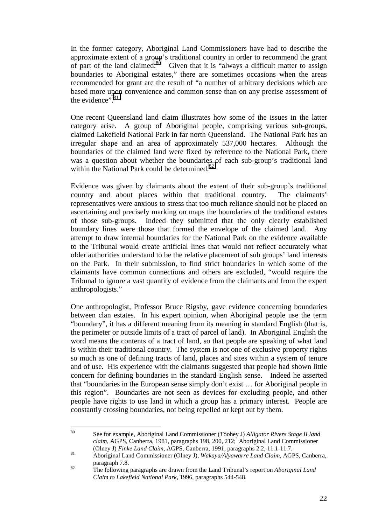In the former category, Aboriginal Land Commissioners have had to describe the approximate extent of a group's traditional country in order to recommend the grant of part of the land claimed. $80$  Given that it is "always a difficult matter to assign boundaries to Aboriginal estates," there are sometimes occasions when the areas recommended for grant are the result of "a number of arbitrary decisions which are based more upon convenience and common sense than on any precise assessment of the evidence". $81$ 

One recent Queensland land claim illustrates how some of the issues in the latter category arise. A group of Aboriginal people, comprising various sub-groups, claimed Lakefield National Park in far north Queensland. The National Park has an irregular shape and an area of approximately 537,000 hectares. Although the boundaries of the claimed land were fixed by reference to the National Park, there was a question about whether the boundaries of each sub-group's traditional land within the National Park could be determined.<sup>82</sup>

Evidence was given by claimants about the extent of their sub-group's traditional country and about places within that traditional country. The claimants' representatives were anxious to stress that too much reliance should not be placed on ascertaining and precisely marking on maps the boundaries of the traditional estates of those sub-groups. Indeed they submitted that the only clearly established boundary lines were those that formed the envelope of the claimed land. Any attempt to draw internal boundaries for the National Park on the evidence available to the Tribunal would create artificial lines that would not reflect accurately what older authorities understand to be the relative placement of sub groups' land interests on the Park. In their submission, to find strict boundaries in which some of the claimants have common connections and others are excluded, "would require the Tribunal to ignore a vast quantity of evidence from the claimants and from the expert anthropologists."

One anthropologist, Professor Bruce Rigsby, gave evidence concerning boundaries between clan estates. In his expert opinion, when Aboriginal people use the term "boundary", it has a different meaning from its meaning in standard English (that is, the perimeter or outside limits of a tract of parcel of land). In Aboriginal English the word means the contents of a tract of land, so that people are speaking of what land is within their traditional country. The system is not one of exclusive property rights so much as one of defining tracts of land, places and sites within a system of tenure and of use. His experience with the claimants suggested that people had shown little concern for defining boundaries in the standard English sense. Indeed he asserted that "boundaries in the European sense simply don't exist … for Aboriginal people in this region". Boundaries are not seen as devices for excluding people, and other people have rights to use land in which a group has a primary interest. People are constantly crossing boundaries, not being repelled or kept out by them.

<sup>80</sup> 80 See for example, Aboriginal Land Commissioner (Toohey J) *Alligator Rivers Stage II land claim*, AGPS, Canberra, 1981, paragraphs 198, 200, 212; Aboriginal Land Commissioner

<sup>(</sup>Olney J) *Finke Land Claim*, AGPS, Canberra, 1991, paragraphs 2.2, 11.1-11.7.<br>Aboriginal Land Commissioner (Olney J), *Wakaya/Alyawarre Land Claim*, AGPS, Canberra,

paragraph 7.8. 82 The following paragraphs are drawn from the Land Tribunal's report on *Aboriginal Land Claim to Lakefield National Park*, 1996, paragraphs 544-548.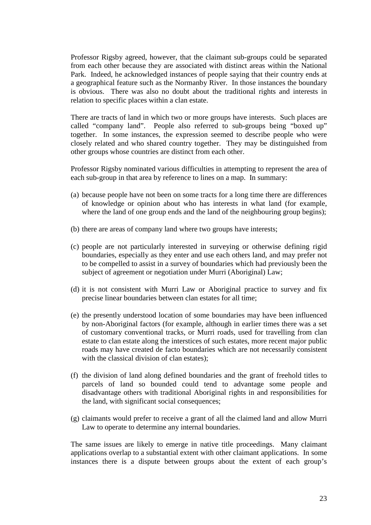Professor Rigsby agreed, however, that the claimant sub-groups could be separated from each other because they are associated with distinct areas within the National Park. Indeed, he acknowledged instances of people saying that their country ends at a geographical feature such as the Normanby River. In those instances the boundary is obvious. There was also no doubt about the traditional rights and interests in relation to specific places within a clan estate.

There are tracts of land in which two or more groups have interests. Such places are called "company land". People also referred to sub-groups being "boxed up" together. In some instances, the expression seemed to describe people who were closely related and who shared country together. They may be distinguished from other groups whose countries are distinct from each other.

Professor Rigsby nominated various difficulties in attempting to represent the area of each sub-group in that area by reference to lines on a map. In summary:

- (a) because people have not been on some tracts for a long time there are differences of knowledge or opinion about who has interests in what land (for example, where the land of one group ends and the land of the neighbouring group begins);
- (b) there are areas of company land where two groups have interests;
- (c) people are not particularly interested in surveying or otherwise defining rigid boundaries, especially as they enter and use each others land, and may prefer not to be compelled to assist in a survey of boundaries which had previously been the subject of agreement or negotiation under Murri (Aboriginal) Law;
- (d) it is not consistent with Murri Law or Aboriginal practice to survey and fix precise linear boundaries between clan estates for all time;
- (e) the presently understood location of some boundaries may have been influenced by non-Aboriginal factors (for example, although in earlier times there was a set of customary conventional tracks, or Murri roads, used for travelling from clan estate to clan estate along the interstices of such estates, more recent major public roads may have created de facto boundaries which are not necessarily consistent with the classical division of clan estates);
- (f) the division of land along defined boundaries and the grant of freehold titles to parcels of land so bounded could tend to advantage some people and disadvantage others with traditional Aboriginal rights in and responsibilities for the land, with significant social consequences;
- (g) claimants would prefer to receive a grant of all the claimed land and allow Murri Law to operate to determine any internal boundaries.

The same issues are likely to emerge in native title proceedings. Many claimant applications overlap to a substantial extent with other claimant applications. In some instances there is a dispute between groups about the extent of each group's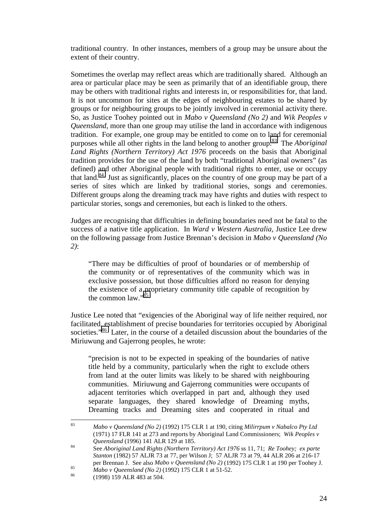traditional country. In other instances, members of a group may be unsure about the extent of their country.

Sometimes the overlap may reflect areas which are traditionally shared. Although an area or particular place may be seen as primarily that of an identifiable group, there may be others with traditional rights and interests in, or responsibilities for, that land. It is not uncommon for sites at the edges of neighbouring estates to be shared by groups or for neighbouring groups to be jointly involved in ceremonial activity there. So, as Justice Toohey pointed out in *Mabo v Queensland (No 2)* and *Wik Peoples v Queensland*, more than one group may utilise the land in accordance with indigenous tradition. For example, one group may be entitled to come on to land for ceremonial purposes while all other rights in the land belong to another group.83 The *Aboriginal Land Rights (Northern Territory) Act 1976* proceeds on the basis that Aboriginal tradition provides for the use of the land by both "traditional Aboriginal owners" (as defined) and other Aboriginal people with traditional rights to enter, use or occupy that land.<sup>84</sup> Just as significantly, places on the country of one group may be part of a series of sites which are linked by traditional stories, songs and ceremonies. Different groups along the dreaming track may have rights and duties with respect to particular stories, songs and ceremonies, but each is linked to the others.

Judges are recognising that difficulties in defining boundaries need not be fatal to the success of a native title application. In *Ward v Western Australia,* Justice Lee drew on the following passage from Justice Brennan's decision in *Mabo v Queensland (No 2)*:

"There may be difficulties of proof of boundaries or of membership of the community or of representatives of the community which was in exclusive possession, but those difficulties afford no reason for denying the existence of a proprietary community title capable of recognition by the common law."<sup>85</sup>

Justice Lee noted that "exigencies of the Aboriginal way of life neither required, nor facilitated, establishment of precise boundaries for territories occupied by Aboriginal societies."<sup>86</sup> Later, in the course of a detailed discussion about the boundaries of the Miriuwung and Gajerrong peoples, he wrote:

"precision is not to be expected in speaking of the boundaries of native title held by a community, particularly when the right to exclude others from land at the outer limits was likely to be shared with neighbouring communities. Miriuwung and Gajerrong communities were occupants of adjacent territories which overlapped in part and, although they used separate languages, they shared knowledge of Dreaming myths, Dreaming tracks and Dreaming sites and cooperated in ritual and

<sup>83</sup> <sup>83</sup> *Mabo v Queensland (No 2)* (1992) 175 CLR 1 at 190, citing *Milirrpum v Nabalco Pty Ltd* (1971) 17 FLR 141 at 273 and reports by Aboriginal Land Commissioners; *Wik Peoples v*

*Queensland* (1996) 141 ALR 129 at 185.<br>See *Aboriginal Land Rights (Northern Territory) Act 1976* ss 11, 71; *Re Toohey; ex parte Stanton* (1982) 57 ALJR 73 at 77, per Wilson J; 57 ALJR 73 at 79, 44 ALR 206 at 216-17 per Brennan J. See also *Mabo v Queensland (No 2)* (1992) 175 CLR 1 at 190 per Toohey J. <sup>85</sup> *Mabo v Queensland (No 2)* (1992) 175 CLR 1 at 51-52. 86 (1998) 159 ALR 483 at 504.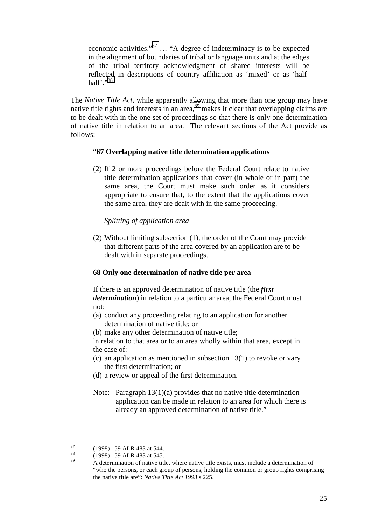economic activities."<sup>87</sup> ... "A degree of indeterminacy is to be expected in the alignment of boundaries of tribal or language units and at the edges of the tribal territory acknowledgment of shared interests will be reflected in descriptions of country affiliation as 'mixed' or as 'halfhalf' $\cdot$ "88

The *Native Title Act,* while apparently allowing that more than one group may have native title rights and interests in an area, $89$  makes it clear that overlapping claims are to be dealt with in the one set of proceedings so that there is only one determination of native title in relation to an area. The relevant sections of the Act provide as follows:

#### "**67 Overlapping native title determination applications**

(2) If 2 or more proceedings before the Federal Court relate to native title determination applications that cover (in whole or in part) the same area, the Court must make such order as it considers appropriate to ensure that, to the extent that the applications cover the same area, they are dealt with in the same proceeding.

### *Splitting of application area*

(2) Without limiting subsection (1), the order of the Court may provide that different parts of the area covered by an application are to be dealt with in separate proceedings.

#### **68 Only one determination of native title per area**

If there is an approved determination of native title (the *first determination*) in relation to a particular area, the Federal Court must not:

- (a) conduct any proceeding relating to an application for another determination of native title; or
- (b) make any other determination of native title;

in relation to that area or to an area wholly within that area, except in the case of:

- (c) an application as mentioned in subsection 13(1) to revoke or vary the first determination; or
- (d) a review or appeal of the first determination.
- Note: Paragraph 13(1)(a) provides that no native title determination application can be made in relation to an area for which there is already an approved determination of native title."

<sup>87</sup>  $^{87}$  (1998) 159 ALR 483 at 544.

 $^{88}$  (1998) 159 ALR 483 at 545.

<sup>89</sup> A determination of native title, where native title exists, must include a determination of "who the persons, or each group of persons, holding the common or group rights comprising the native title are": *Native Title Act 1993* s 225.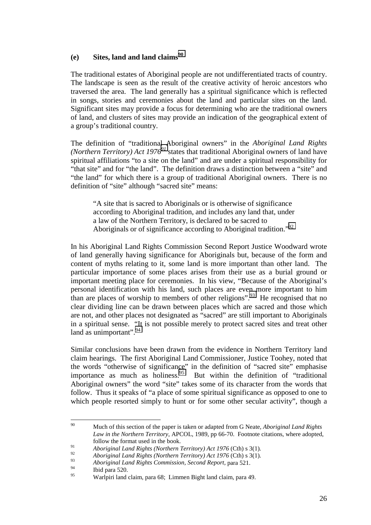### **(e) Sites, land and land claims<sup>90</sup>**

The traditional estates of Aboriginal people are not undifferentiated tracts of country. The landscape is seen as the result of the creative activity of heroic ancestors who traversed the area. The land generally has a spiritual significance which is reflected in songs, stories and ceremonies about the land and particular sites on the land. Significant sites may provide a focus for determining who are the traditional owners of land, and clusters of sites may provide an indication of the geographical extent of a group's traditional country.

The definition of "traditional Aboriginal owners" in the *Aboriginal Land Rights (Northern Territory) Act 197691* states that traditional Aboriginal owners of land have spiritual affiliations "to a site on the land" and are under a spiritual responsibility for "that site" and for "the land". The definition draws a distinction between a "site" and "the land" for which there is a group of traditional Aboriginal owners. There is no definition of "site" although "sacred site" means:

"A site that is sacred to Aboriginals or is otherwise of significance according to Aboriginal tradition, and includes any land that, under a law of the Northern Territory, is declared to be sacred to Aboriginals or of significance according to Aboriginal tradition."92

In his Aboriginal Land Rights Commission Second Report Justice Woodward wrote of land generally having significance for Aboriginals but, because of the form and content of myths relating to it, some land is more important than other land. The particular importance of some places arises from their use as a burial ground or important meeting place for ceremonies. In his view, "Because of the Aboriginal's personal identification with his land, such places are even more important to him than are places of worship to members of other religions".<sup>93</sup> He recognised that no clear dividing line can be drawn between places which are sacred and those which are not, and other places not designated as "sacred" are still important to Aboriginals in a spiritual sense. "It is not possible merely to protect sacred sites and treat other land as unimportant". <sup>94</sup>

Similar conclusions have been drawn from the evidence in Northern Territory land claim hearings. The first Aboriginal Land Commissioner, Justice Toohey, noted that the words "otherwise of significance" in the definition of "sacred site" emphasise importance as much as holiness.<sup>95</sup> But within the definition of "traditional Aboriginal owners" the word "site" takes some of its character from the words that follow. Thus it speaks of "a place of some spiritual significance as opposed to one to which people resorted simply to hunt or for some other secular activity", though a

<sup>90</sup> 90 Much of this section of the paper is taken or adapted from G Neate*, Aboriginal Land Rights Law in the Northern Territory*, APCOL, 1989, pp 66-70. Footnote citations, where adopted, follow the format used in the book.

<sup>&</sup>lt;sup>91</sup> Aboriginal Land Rights (Northern Territory) Act 1976 (Cth) s 3(1).<br>
Aboriginal Land Rights (Northern Territory) Act 1976 (Cth) s 3(1).<br>
Aboriginal Land Rights Commission, Second Report, para 521.

 $^{94}$  Ibid para 520.

<sup>95</sup> Warlpiri land claim, para 68; Limmen Bight land claim, para 49.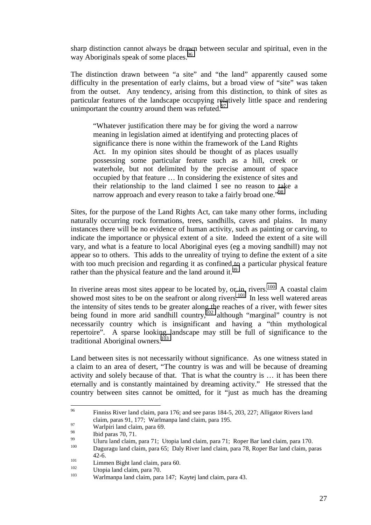sharp distinction cannot always be drawn between secular and spiritual, even in the way Aboriginals speak of some places.<sup>96</sup>

The distinction drawn between "a site" and "the land" apparently caused some difficulty in the presentation of early claims, but a broad view of "site" was taken from the outset. Any tendency, arising from this distinction, to think of sites as particular features of the landscape occupying relatively little space and rendering unimportant the country around them was refuted. $97$ 

"Whatever justification there may be for giving the word a narrow meaning in legislation aimed at identifying and protecting places of significance there is none within the framework of the Land Rights Act. In my opinion sites should be thought of as places usually possessing some particular feature such as a hill, creek or waterhole, but not delimited by the precise amount of space occupied by that feature … In considering the existence of sites and their relationship to the land claimed I see no reason to take a narrow approach and every reason to take a fairly broad one."<sup>98</sup>

Sites, for the purpose of the Land Rights Act, can take many other forms, including naturally occurring rock formations, trees, sandhills, caves and plains. In many instances there will be no evidence of human activity, such as painting or carving, to indicate the importance or physical extent of a site. Indeed the extent of a site will vary, and what is a feature to local Aboriginal eyes (eg a moving sandhill) may not appear so to others. This adds to the unreality of trying to define the extent of a site with too much precision and regarding it as confined to a particular physical feature rather than the physical feature and the land around it.<sup>99</sup>

In riverine areas most sites appear to be located by, or in, rivers.<sup>100</sup> A coastal claim showed most sites to be on the seafront or along rivers.<sup>101</sup> In less well watered areas the intensity of sites tends to be greater along the reaches of a river, with fewer sites being found in more arid sandhill country,<sup>102</sup> although "marginal" country is not necessarily country which is insignificant and having a "thin mythological repertoire". A sparse looking landscape may still be full of significance to the traditional Aboriginal owners.<sup>103</sup>

Land between sites is not necessarily without significance. As one witness stated in a claim to an area of desert, "The country is was and will be because of dreaming activity and solely because of that. That is what the country is … it has been there eternally and is constantly maintained by dreaming activity." He stressed that the country between sites cannot be omitted, for it "just as much has the dreaming

 $\overline{a}$ 

<sup>&</sup>lt;sup>96</sup> Finniss River land claim, para 176; and see paras 184-5, 203, 227; Alligator Rivers land claim, paras 91, 177; Warlmanpa land claim, para 195.<br>Warlpiri land claim, para 69.<br><sup>98</sup> Warl asses 70, 71.

 $^{98}_{99}$  Ibid paras 70, 71.

<sup>&</sup>lt;sup>99</sup> Uluru land claim, para 71; Utopia land claim, para 71; Roper Bar land claim, para 170.

Daguragu land claim, para 65; Daly River land claim, para 78, Roper Bar land claim, paras 42-6.<br>
101 Limmen Bight land claim, para 60.<br>
102 Utopia land claim, para 70.<br>
103 Warlmanpa land claim, para 147; Kaytej land claim, para 43.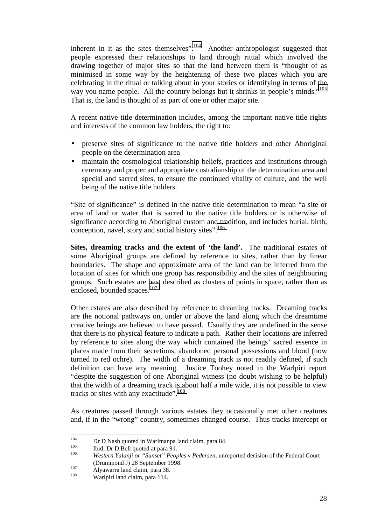inherent in it as the sites themselves".<sup>104</sup> Another anthropologist suggested that people expressed their relationships to land through ritual which involved the drawing together of major sites so that the land between them is "thought of as minimised in some way by the heightening of these two places which you are celebrating in the ritual or talking about in your stories or identifying in terms of the way you name people. All the country belongs but it shrinks in people's minds."<sup>105</sup> That is, the land is thought of as part of one or other major site.

A recent native title determination includes, among the important native title rights and interests of the common law holders, the right to:

- preserve sites of significance to the native title holders and other Aboriginal people on the determination area
- maintain the cosmological relationship beliefs, practices and institutions through ceremony and proper and appropriate custodianship of the determination area and special and sacred sites, to ensure the continued vitality of culture, and the well being of the native title holders.

"Site of significance" is defined in the native title determination to mean "a site or area of land or water that is sacred to the native title holders or is otherwise of significance according to Aboriginal custom and tradition, and includes burial, birth, conception, navel, story and social history sites".<sup>106</sup>

**Sites, dreaming tracks and the extent of 'the land'.** The traditional estates of some Aboriginal groups are defined by reference to sites, rather than by linear boundaries. The shape and approximate area of the land can be inferred from the location of sites for which one group has responsibility and the sites of neighbouring groups. Such estates are best described as clusters of points in space, rather than as enclosed, bounded spaces.<sup>107</sup>

Other estates are also described by reference to dreaming tracks. Dreaming tracks are the notional pathways on, under or above the land along which the dreamtime creative beings are believed to have passed. Usually they are undefined in the sense that there is no physical feature to indicate a path. Rather their locations are inferred by reference to sites along the way which contained the beings' sacred essence in places made from their secretions, abandoned personal possessions and blood (now turned to red ochre). The width of a dreaming track is not readily defined, if such definition can have any meaning. Justice Toohey noted in the Warlpiri report "despite the suggestion of one Aboriginal witness (no doubt wishing to be helpful) that the width of a dreaming track is about half a mile wide, it is not possible to view tracks or sites with any exactitude".<sup>108</sup>

As creatures passed through various estates they occasionally met other creatures and, if in the "wrong" country, sometimes changed course. Thus tracks intercept or

 $104$ 

<sup>104</sup> Dr D Nash quoted in Warlmanpa land claim, para 84.<br>
105 Ibid, Dr D Bell quoted at para 91.<br>
106 *Western Yalanji or "Sunset" Peoples v Pedersen*, unreported decision of the Federal Court (Drummond J) 28 September 1998.<br>
107 Alyawarra land claim, para 38.<br>
Warlpiri land claim, para 114.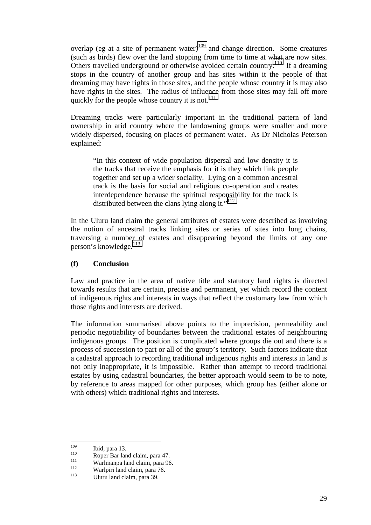overlap (eg at a site of permanent water)<sup>109</sup> and change direction. Some creatures (such as birds) flew over the land stopping from time to time at what are now sites. Others travelled underground or otherwise avoided certain country.<sup>110</sup> If a dreaming stops in the country of another group and has sites within it the people of that dreaming may have rights in those sites, and the people whose country it is may also have rights in the sites. The radius of influence from those sites may fall off more quickly for the people whose country it is not. $111$ 

Dreaming tracks were particularly important in the traditional pattern of land ownership in arid country where the landowning groups were smaller and more widely dispersed, focusing on places of permanent water. As Dr Nicholas Peterson explained:

"In this context of wide population dispersal and low density it is the tracks that receive the emphasis for it is they which link people together and set up a wider sociality. Lying on a common ancestral track is the basis for social and religious co-operation and creates interdependence because the spiritual responsibility for the track is distributed between the clans lying along it."<sup>112</sup>

In the Uluru land claim the general attributes of estates were described as involving the notion of ancestral tracks linking sites or series of sites into long chains, traversing a number of estates and disappearing beyond the limits of any one person's knowledge.<sup>113</sup>

## **(f) Conclusion**

Law and practice in the area of native title and statutory land rights is directed towards results that are certain, precise and permanent, yet which record the content of indigenous rights and interests in ways that reflect the customary law from which those rights and interests are derived.

The information summarised above points to the imprecision, permeability and periodic negotiability of boundaries between the traditional estates of neighbouring indigenous groups. The position is complicated where groups die out and there is a process of succession to part or all of the group's territory. Such factors indicate that a cadastral approach to recording traditional indigenous rights and interests in land is not only inappropriate, it is impossible. Rather than attempt to record traditional estates by using cadastral boundaries, the better approach would seem to be to note, by reference to areas mapped for other purposes, which group has (either alone or with others) which traditional rights and interests.

<sup>109</sup> 

<sup>109</sup> Ibid, para 13.<br>
110 Roper Bar land claim, para 47.<br>
111 Warlmanpa land claim, para 96.<br>
113 Warlpiri land claim, para 76.<br>
113 Uluru land claim, para 39.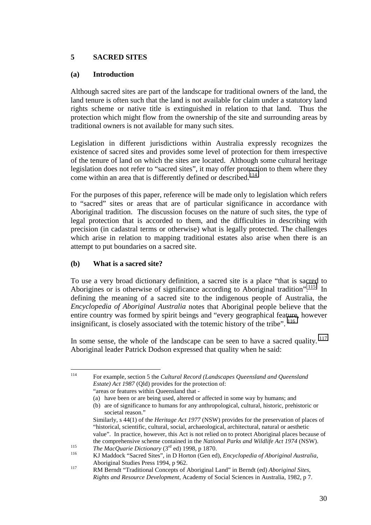# **5 SACRED SITES**

## **(a) Introduction**

Although sacred sites are part of the landscape for traditional owners of the land, the land tenure is often such that the land is not available for claim under a statutory land rights scheme or native title is extinguished in relation to that land. Thus the protection which might flow from the ownership of the site and surrounding areas by traditional owners is not available for many such sites.

Legislation in different jurisdictions within Australia expressly recognizes the existence of sacred sites and provides some level of protection for them irrespective of the tenure of land on which the sites are located. Although some cultural heritage legislation does not refer to "sacred sites", it may offer protection to them where they come within an area that is differently defined or described.<sup>114</sup>

For the purposes of this paper, reference will be made only to legislation which refers to "sacred" sites or areas that are of particular significance in accordance with Aboriginal tradition. The discussion focuses on the nature of such sites, the type of legal protection that is accorded to them, and the difficulties in describing with precision (in cadastral terms or otherwise) what is legally protected. The challenges which arise in relation to mapping traditional estates also arise when there is an attempt to put boundaries on a sacred site.

# **(b) What is a sacred site?**

To use a very broad dictionary definition, a sacred site is a place "that is sacred to Aborigines or is otherwise of significance according to Aboriginal tradition".<sup>115</sup> In defining the meaning of a sacred site to the indigenous people of Australia, the *Encyclopedia of Aboriginal Australia* notes that Aboriginal people believe that the entire country was formed by spirit beings and "every geographical feature, however insignificant, is closely associated with the totemic history of the tribe". <sup>116</sup>

In some sense, the whole of the landscape can be seen to have a sacred quality.  $117$ Aboriginal leader Patrick Dodson expressed that quality when he said:

 $114$ 114 For example, section 5 the *Cultural Record (Landscapes Queensland and Queensland Estate) Act 1987* (Qld) provides for the protection of: "areas or features within Queensland that - (a) have been or are being used, altered or affected in some way by humans; and (b) are of significance to humans for any anthropological, cultural, historic, prehistoric or societal reason." Similarly, s 44(1) of the *Heritage Act 1977* (NSW) provides for the preservation of places of "historical, scientific, cultural, social, archaeological, architectural, natural or aesthetic value". In practice, however, this Act is not relied on to protect Aboriginal places because of the comprehensive scheme contained in the *National Parks and Wildlife Act 1974* (NSW).<br> *The MacQuarie Dictionary* (3<sup>rd</sup> ed) 1998, p 1870.<br> **KJ Maddock "Sacred Sites", in D Horton (Gen ed),** *Encyclopedia of Aboriginal Au* 

Aboriginal Studies Press 1994, p 962. 117 RM Berndt "Traditional Concepts of Aboriginal Land" in Berndt (ed) *Aboriginal Sites,*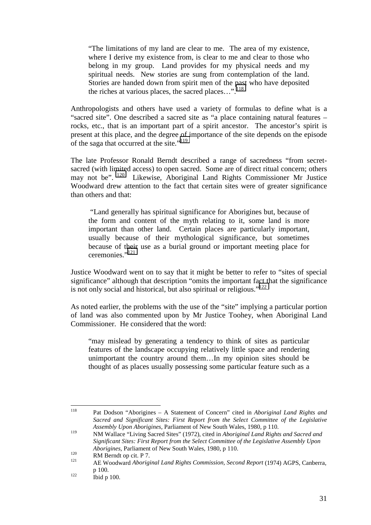"The limitations of my land are clear to me. The area of my existence, where I derive my existence from, is clear to me and clear to those who belong in my group. Land provides for my physical needs and my spiritual needs. New stories are sung from contemplation of the land. Stories are handed down from spirit men of the past who have deposited the riches at various places, the sacred places...".<sup>118</sup>

Anthropologists and others have used a variety of formulas to define what is a "sacred site". One described a sacred site as "a place containing natural features – rocks, etc., that is an important part of a spirit ancestor. The ancestor's spirit is present at this place, and the degree of importance of the site depends on the episode of the saga that occurred at the site."<sup>119</sup>

The late Professor Ronald Berndt described a range of sacredness "from secretsacred (with limited access) to open sacred. Some are of direct ritual concern; others may not be". <sup>120</sup> Likewise, Aboriginal Land Rights Commissioner Mr Justice Woodward drew attention to the fact that certain sites were of greater significance than others and that:

 "Land generally has spiritual significance for Aborigines but, because of the form and content of the myth relating to it, some land is more important than other land. Certain places are particularly important, usually because of their mythological significance, but sometimes because of their use as a burial ground or important meeting place for ceremonies."<sup>121</sup>

Justice Woodward went on to say that it might be better to refer to "sites of special significance" although that description "omits the important fact that the significance is not only social and historical, but also spiritual or religious."<sup>122</sup>

As noted earlier, the problems with the use of the "site" implying a particular portion of land was also commented upon by Mr Justice Toohey, when Aboriginal Land Commissioner. He considered that the word:

"may mislead by generating a tendency to think of sites as particular features of the landscape occupying relatively little space and rendering unimportant the country around them…In my opinion sites should be thought of as places usually possessing some particular feature such as a

<sup>118</sup> 118 Pat Dodson "Aborigines – A Statement of Concern" cited in *Aboriginal Land Rights and Sacred and Significant Sites: First Report from the Select Committee of the Legislative Assembly Upon Aborigines*, Parliament of New South Wales, 1980, p 110.

<sup>119</sup> NM Wallace "Living Sacred Sites" (1972), cited in *Aboriginal Land Rights and Sacred and Significant Sites: First Report from the Select Committee of the Legislative Assembly Upon*

*Aborigines*, Parliament of New South Wales, 1980, p 110.<br>
120 RM Berndt op cit. P 7.<br>
AE Woodward *Aboriginal Land Rights Commission, Second Report* (1974) AGPS, Canberra, p 100. 122 Ibid p 100.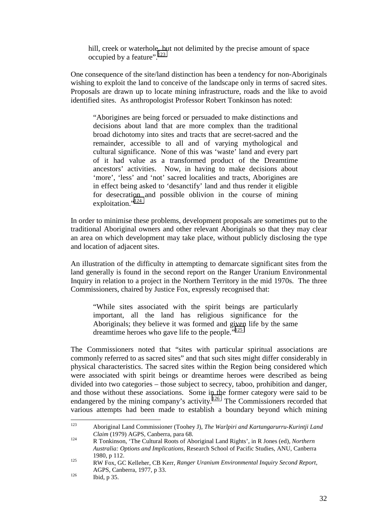hill, creek or waterhole, but not delimited by the precise amount of space occupied by a feature".<sup>123</sup>

One consequence of the site/land distinction has been a tendency for non-Aboriginals wishing to exploit the land to conceive of the landscape only in terms of sacred sites. Proposals are drawn up to locate mining infrastructure, roads and the like to avoid identified sites. As anthropologist Professor Robert Tonkinson has noted:

"Aborigines are being forced or persuaded to make distinctions and decisions about land that are more complex than the traditional broad dichotomy into sites and tracts that are secret-sacred and the remainder, accessible to all and of varying mythological and cultural significance. None of this was 'waste' land and every part of it had value as a transformed product of the Dreamtime ancestors' activities. Now, in having to make decisions about 'more', 'less' and 'not' sacred localities and tracts, Aborigines are in effect being asked to 'desanctify' land and thus render it eligible for desecration and possible oblivion in the course of mining exploitation."<sup>124</sup>

In order to minimise these problems, development proposals are sometimes put to the traditional Aboriginal owners and other relevant Aboriginals so that they may clear an area on which development may take place, without publicly disclosing the type and location of adjacent sites.

An illustration of the difficulty in attempting to demarcate significant sites from the land generally is found in the second report on the Ranger Uranium Environmental Inquiry in relation to a project in the Northern Territory in the mid 1970s. The three Commissioners, chaired by Justice Fox, expressly recognised that:

"While sites associated with the spirit beings are particularly important, all the land has religious significance for the Aboriginals; they believe it was formed and given life by the same dreamtime heroes who gave life to the people."<sup>125</sup>

The Commissioners noted that "sites with particular spiritual associations are commonly referred to as sacred sites" and that such sites might differ considerably in physical characteristics. The sacred sites within the Region being considered which were associated with spirit beings or dreamtime heroes were described as being divided into two categories – those subject to secrecy, taboo, prohibition and danger, and those without these associations. Some in the former category were said to be endangered by the mining company's activity.<sup>126</sup> The Commissioners recorded that various attempts had been made to establish a boundary beyond which mining

<sup>123</sup> Aboriginal Land Commissioner (Toohey J), *The Warlpiri and Kartangarurru-Kurintji Land Claim* (1979) AGPS, Canberra, para 68.

<sup>&</sup>lt;sup>124</sup> R Tonkinson, 'The Cultural Roots of Aboriginal Land Rights', in R Jones (ed), *Northern Australia: Options and Implications*, Research School of Pacific Studies, ANU, Canberra 1980, p 112. 125 RW Fox, GC Kelleher, CB Kerr, *Ranger Uranium Environmental Inquiry Second Report,*

AGPS, Canberra, 1977, p 33.<br>
Ibid, p 35.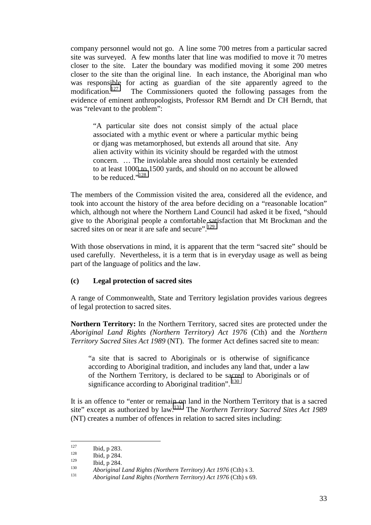company personnel would not go. A line some 700 metres from a particular sacred site was surveyed. A few months later that line was modified to move it 70 metres closer to the site. Later the boundary was modified moving it some 200 metres closer to the site than the original line. In each instance, the Aboriginal man who was responsible for acting as guardian of the site apparently agreed to the modification.<sup>127</sup> The Commissioners quoted the following passages from the evidence of eminent anthropologists, Professor RM Berndt and Dr CH Berndt, that was "relevant to the problem":

"A particular site does not consist simply of the actual place associated with a mythic event or where a particular mythic being or djang was metamorphosed, but extends all around that site. Any alien activity within its vicinity should be regarded with the utmost concern. … The inviolable area should most certainly be extended to at least 1000 to 1500 yards, and should on no account be allowed to be reduced."<sup>128</sup>

The members of the Commission visited the area, considered all the evidence, and took into account the history of the area before deciding on a "reasonable location" which, although not where the Northern Land Council had asked it be fixed, "should give to the Aboriginal people a comfortable satisfaction that Mt Brockman and the sacred sites on or near it are safe and secure".<sup>129</sup>

With those observations in mind, it is apparent that the term "sacred site" should be used carefully. Nevertheless, it is a term that is in everyday usage as well as being part of the language of politics and the law.

#### **(c) Legal protection of sacred sites**

A range of Commonwealth, State and Territory legislation provides various degrees of legal protection to sacred sites.

**Northern Territory:** In the Northern Territory, sacred sites are protected under the *Aboriginal Land Rights (Northern Territory) Act 1976* (Cth) and the *Northern Territory Sacred Sites Act 1989* (NT). The former Act defines sacred site to mean:

"a site that is sacred to Aboriginals or is otherwise of significance according to Aboriginal tradition, and includes any land that, under a law of the Northern Territory, is declared to be sacred to Aboriginals or of significance according to Aboriginal tradition".  $130$ 

It is an offence to "enter or remain on land in the Northern Territory that is a sacred site" except as authorized by law.<sup>131</sup> The *Northern Territory Sacred Sites Act 1989* (NT) creates a number of offences in relation to sacred sites including:

<sup>127</sup> 

<sup>&</sup>lt;sup>127</sup> Ibid, p 283.<br>
<sup>128</sup> Ibid, p 284.

<sup>129</sup> Ibid, p 284. <sup>130</sup> *Aboriginal Land Rights (Northern Territory) Act 1976* (Cth) s 3. <sup>131</sup> *Aboriginal Land Rights (Northern Territory) Act 1976* (Cth) s 69.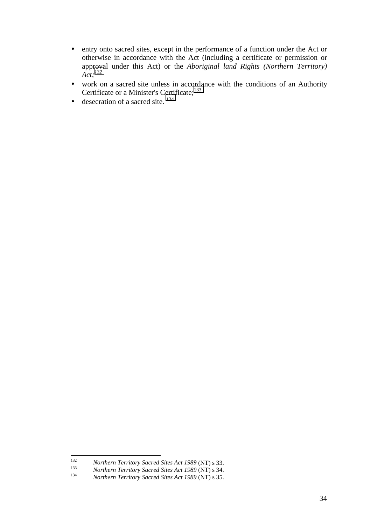- entry onto sacred sites, except in the performance of a function under the Act or otherwise in accordance with the Act (including a certificate or permission or approval under this Act) or the *Aboriginal land Rights (Northern Territory) Act;<sup>132</sup>*
- work on a sacred site unless in accordance with the conditions of an Authority Certificate or a Minister's Certificate;<sup>133</sup>
- desecration of a sacred site.  $134$

<sup>132</sup> 

<sup>132</sup> *Northern Territory Sacred Sites Act 1989* (NT) s 33. <sup>133</sup> *Northern Territory Sacred Sites Act 1989* (NT) s 34. <sup>134</sup> *Northern Territory Sacred Sites Act 1989* (NT) s 35.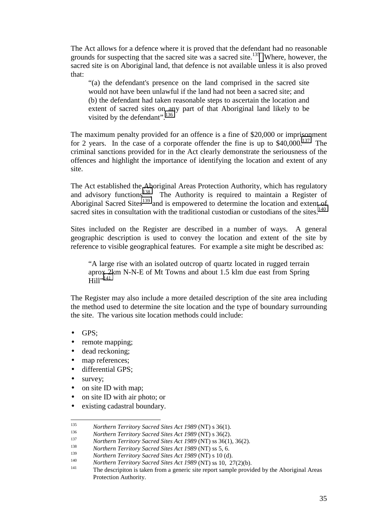The Act allows for a defence where it is proved that the defendant had no reasonable grounds for suspecting that the sacred site was a sacred site.<sup>135</sup> Where, however, the sacred site is on Aboriginal land, that defence is not available unless it is also proved that:

"(a) the defendant's presence on the land comprised in the sacred site would not have been unlawful if the land had not been a sacred site; and (b) the defendant had taken reasonable steps to ascertain the location and extent of sacred sites on any part of that Aboriginal land likely to be visited by the defendant".<sup>136</sup>

The maximum penalty provided for an offence is a fine of \$20,000 or imprisonment for 2 years. In the case of a corporate offender the fine is up to  $$40,000$ .<sup>137</sup> The criminal sanctions provided for in the Act clearly demonstrate the seriousness of the offences and highlight the importance of identifying the location and extent of any site.

The Act established the Aboriginal Areas Protection Authority, which has regulatory and advisory functions<sup>138</sup>. The Authority is required to maintain a Register of Aboriginal Sacred Sites<sup>139</sup> and is empowered to determine the location and extent of sacred sites in consultation with the traditional custodian or custodians of the sites.<sup>140</sup>

Sites included on the Register are described in a number of ways. A general geographic description is used to convey the location and extent of the site by reference to visible geographical features. For example a site might be described as:

"A large rise with an isolated outcrop of quartz located in rugged terrain aprox 2km N-N-E of Mt Towns and about 1.5 klm due east from Spring  $Hill^{"141}$ 

The Register may also include a more detailed description of the site area including the method used to determine the site location and the type of boundary surrounding the site. The various site location methods could include:

- GPS;
- remote mapping;
- dead reckoning;
- map references;
- differential GPS;
- survey:
- on site ID with map;
- on site ID with air photo; or
- existing cadastral boundary.

<sup>135</sup> 

<sup>&</sup>lt;sup>135</sup><br>
Morthern Territory Sacred Sites Act 1989 (NT) s 36(1).<br>
136 Northern Territory Sacred Sites Act 1989 (NT) s 36(2).<br>
137 Northern Territory Sacred Sites Act 1989 (NT) ss 36(1), 36(2).<br>
138 Northern Territory Sacred

<sup>&</sup>lt;sup>139</sup> Northern Territory Sacred Sites Act 1989 (NT) s 10 (d).<br>
<sup>140</sup> Northern Territory Sacred Sites Act 1989 (NT) ss 10, 27(2)(b).<br>
<sup>141</sup> The descripiton is taken from a generic site report sample provided by the Aborigi Protection Authority.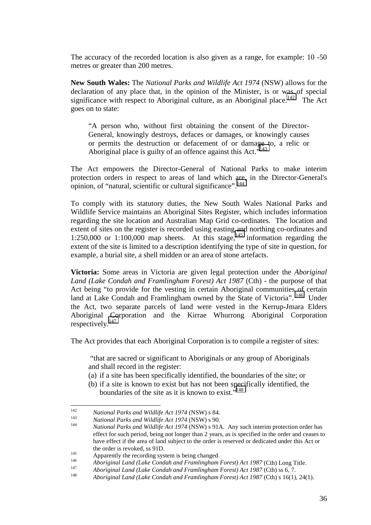The accuracy of the recorded location is also given as a range, for example: 10 -50 metres or greater than 200 metres.

**New South Wales:** The *National Parks and Wildlife Act 1974* (NSW) allows for the declaration of any place that, in the opinion of the Minister, is or was of special significance with respect to Aboriginal culture, as an Aboriginal place.<sup>142</sup> The Act goes on to state:

"A person who, without first obtaining the consent of the Director-General, knowingly destroys, defaces or damages, or knowingly causes or permits the destruction or defacement of or damage to, a relic or Aboriginal place is guilty of an offence against this Act."<sup>143</sup>

The Act empowers the Director-General of National Parks to make interim protection orders in respect to areas of land which are, in the Director-General's opinion, of "natural, scientific or cultural significance".<sup>144</sup>

To comply with its statutory duties, the New South Wales National Parks and Wildlife Service maintains an Aboriginal Sites Register, which includes information regarding the site location and Australian Map Grid co-ordinates. The location and extent of sites on the register is recorded using easting and northing co-ordinates and 1:250,000 or 1:100,000 map sheets. At this stage,  $145$  information regarding the extent of the site is limited to a description identifying the type of site in question, for example, a burial site, a shell midden or an area of stone artefacts.

**Victoria:** Some areas in Victoria are given legal protection under the *Aboriginal Land (Lake Condah and Framlingham Forest) Act 1987* (Cth) - the purpose of that Act being "to provide for the vesting in certain Aboriginal communities of certain land at Lake Condah and Framlingham owned by the State of Victoria". <sup>146</sup> Under the Act, two separate parcels of land were vested in the Kerrup-Jmara Elders Aboriginal Corporation and the Kirrae Whurrong Aboriginal Corporation respectively. $147$ 

The Act provides that each Aboriginal Corporation is to compile a register of sites:

 "that are sacred or significant to Aboriginals or any group of Aboriginals and shall record in the register:

- (a) if a site has been specifically identified, the boundaries of the site; or
- (b) if a site is known to exist but has not been specifically identified, the boundaries of the site as it is known to exist."<sup>148</sup>

 $142$ 

<sup>&</sup>lt;sup>142</sup> *National Parks and Wildlife Act 1974* (NSW) s 84.<br><sup>143</sup> *National Parks and Wildlife Act 1974* (NSW) s 90.<br><sup>144</sup> *National Parks and Wildlife Act 1974* (NSW) s 91A. Any such interim protection order has effect for such period, being not longer than 2 years, as is specified in the order and ceases to have effect if the area of land subject to the order is reserved or dedicated under this Act or the order is revoked, ss 91D.<br>
Apparently the recording system is being changed.<br>
Aboriginal Land (Lake Condah and Framlingham Forest) Act 1987 (Cth) Long Title.<br>
Aboriginal Land (Lake Condah and Framlingham Forest) Act 19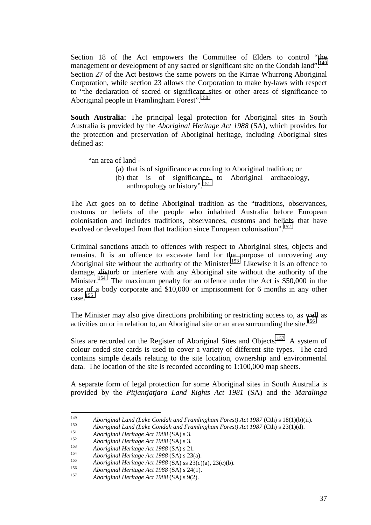Section 18 of the Act empowers the Committee of Elders to control "the management or development of any sacred or significant site on the Condah land".<sup>149</sup> Section 27 of the Act bestows the same powers on the Kirrae Whurrong Aboriginal Corporation, while section 23 allows the Corporation to make by-laws with respect to "the declaration of sacred or significant sites or other areas of significance to Aboriginal people in Framlingham Forest".<sup>150</sup>

**South Australia:** The principal legal protection for Aboriginal sites in South Australia is provided by the *Aboriginal Heritage Act 1988* (SA), which provides for the protection and preservation of Aboriginal heritage, including Aboriginal sites defined as:

"an area of land -

- (a) that is of significance according to Aboriginal tradition; or
- (b) that is of significance to Aboriginal archaeology, anthropology or history".<sup>151</sup>

The Act goes on to define Aboriginal tradition as the "traditions, observances, customs or beliefs of the people who inhabited Australia before European colonisation and includes traditions, observances, customs and beliefs that have evolved or developed from that tradition since European colonisation".<sup>152</sup>

Criminal sanctions attach to offences with respect to Aboriginal sites, objects and remains. It is an offence to excavate land for the purpose of uncovering any Aboriginal site without the authority of the Minister.<sup>153</sup> Likewise it is an offence to damage, disturb or interfere with any Aboriginal site without the authority of the Minister.<sup>154</sup> The maximum penalty for an offence under the Act is \$50,000 in the case of a body corporate and \$10,000 or imprisonment for 6 months in any other  $case$ <sup>155</sup>

The Minister may also give directions prohibiting or restricting access to, as well as activities on or in relation to, an Aboriginal site or an area surrounding the site.<sup>156</sup>

Sites are recorded on the Register of Aboriginal Sites and Objects.<sup>157</sup> A system of colour coded site cards is used to cover a variety of different site types. The card contains simple details relating to the site location, ownership and environmental data. The location of the site is recorded according to 1:100,000 map sheets.

A separate form of legal protection for some Aboriginal sites in South Australia is provided by the *Pitjantjatjara Land Rights Act 1981* (SA) and the *Maralinga*

 $149$ <sup>149</sup> *Aboriginal Land (Lake Condah and Framlingham Forest) Act 1987* (Cth) s 18(1)(b)(ii). <sup>150</sup> *Aboriginal Land (Lake Condah and Framlingham Forest) Act 1987* (Cth) s 23(1)(d). <sup>151</sup> *Aboriginal Heritage Act 1988* (SA) s 3. <sup>152</sup> *Aboriginal Heritage Act 1988* (SA) s 3. <sup>153</sup> *Aboriginal Heritage Act 1988* (SA) s 21. <sup>154</sup> *Aboriginal Heritage Act 1988* (SA) s 23(a). <sup>155</sup> *Aboriginal Heritage Act 1988* (SA) ss 23(c)(a), 23(c)(b). <sup>156</sup> *Aboriginal Heritage Act 1988* (SA) s 24(1). <sup>157</sup> *Aboriginal Heritage Act 1988* (SA) s 9(2).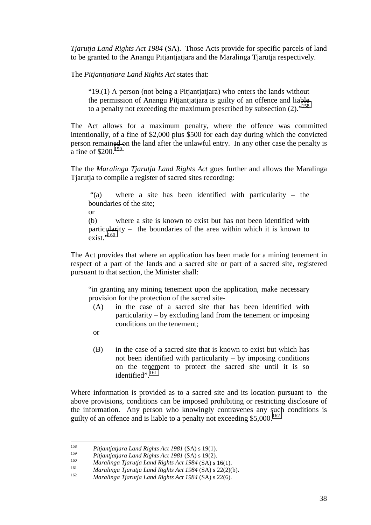*Tjarutja Land Rights Act 1984* (SA). Those Acts provide for specific parcels of land to be granted to the Anangu Pitjantjatjara and the Maralinga Tjarutja respectively.

The *Pitjantjatjara Land Rights Act* states that:

"19.(1) A person (not being a Pitjantjatjara) who enters the lands without the permission of Anangu Pitjantjatjara is guilty of an offence and liable to a penalty not exceeding the maximum prescribed by subsection  $(2)$ ."<sup>158</sup>

The Act allows for a maximum penalty, where the offence was committed intentionally, of a fine of \$2,000 plus \$500 for each day during which the convicted person remained on the land after the unlawful entry. In any other case the penalty is a fine of  $$200.<sup>159</sup>$ 

The the *Maralinga Tjarutja Land Rights Act* goes further and allows the Maralinga Tjarutja to compile a register of sacred sites recording:

 "(a) where a site has been identified with particularity – the boundaries of the site; or (b) where a site is known to exist but has not been identified with particularity – the boundaries of the area within which it is known to  $exist.$ "<sup>160</sup>

The Act provides that where an application has been made for a mining tenement in respect of a part of the lands and a sacred site or part of a sacred site, registered pursuant to that section, the Minister shall:

"in granting any mining tenement upon the application, make necessary provision for the protection of the sacred site-

- (A) in the case of a sacred site that has been identified with particularity – by excluding land from the tenement or imposing conditions on the tenement;
- or
- (B) in the case of a sacred site that is known to exist but which has not been identified with particularity – by imposing conditions on the tenement to protect the sacred site until it is so identified".<sup>161</sup>

Where information is provided as to a sacred site and its location pursuant to the above provisions, conditions can be imposed prohibiting or restricting disclosure of the information. Any person who knowingly contravenes any such conditions is guilty of an offence and is liable to a penalty not exceeding  $$5,000$ .<sup>162</sup>

<sup>158</sup> <sup>158</sup> *Pitjantjatjara Land Rights Act 1981* (SA) s 19(1).

<sup>&</sup>lt;sup>159</sup> Pitjantjatjara Land Rights Act 1981 (SA) s 19(2).<br> *Maralinga Tjarutja Land Rights Act 1984 (SA) s 16(1).*<br> *Maralinga Tjarutja Land Rights Act 1984 (SA) s 22(2)(b).*<br> *Maralinga Tjarutja Land Rights Act 1984 (SA) s*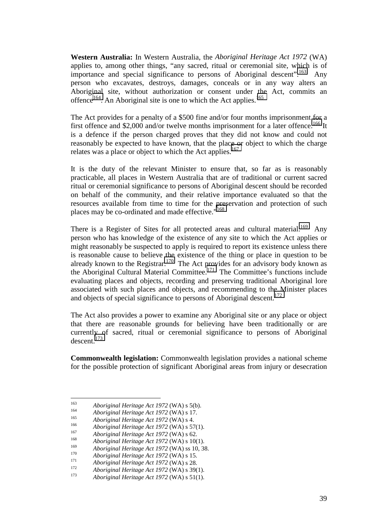**Western Australia:** In Western Australia, the *Aboriginal Heritage Act 1972* (WA) applies to, among other things, "any sacred, ritual or ceremonial site, which is of importance and special significance to persons of Aboriginal descent".<sup>163</sup> Any person who excavates, destroys, damages, conceals or in any way alters an Aboriginal site, without authorization or consent under the Act, commits an offence<sup>164</sup>. An Aboriginal site is one to which the Act applies.<sup>165</sup>

The Act provides for a penalty of a \$500 fine and/or four months imprisonment for a first offence and \$2,000 and/or twelve months imprisonment for a later offence.<sup>166</sup> It is a defence if the person charged proves that they did not know and could not reasonably be expected to have known, that the place or object to which the charge relates was a place or object to which the Act applies.<sup>167</sup>

It is the duty of the relevant Minister to ensure that, so far as is reasonably practicable, all places in Western Australia that are of traditional or current sacred ritual or ceremonial significance to persons of Aboriginal descent should be recorded on behalf of the community, and their relative importance evaluated so that the resources available from time to time for the preservation and protection of such places may be co-ordinated and made effective."<sup>168</sup>

There is a Register of Sites for all protected areas and cultural material.<sup>169</sup> Any person who has knowledge of the existence of any site to which the Act applies or might reasonably be suspected to apply is required to report its existence unless there is reasonable cause to believe the existence of the thing or place in question to be already known to the Registrar.<sup>170</sup> The Act provides for an advisory body known as the Aboriginal Cultural Material Committee.<sup>171</sup> The Committee's functions include evaluating places and objects, recording and preserving traditional Aboriginal lore associated with such places and objects, and recommending to the Minister places and objects of special significance to persons of Aboriginal descent.<sup>172</sup>

The Act also provides a power to examine any Aboriginal site or any place or object that there are reasonable grounds for believing have been traditionally or are currently of sacred, ritual or ceremonial significance to persons of Aboriginal descent.<sup>173</sup>

**Commonwealth legislation:** Commonwealth legislation provides a national scheme for the possible protection of significant Aboriginal areas from injury or desecration

 $\overline{a}$ 

<sup>&</sup>lt;sup>163</sup> Aboriginal Heritage Act 1972 (WA) s 5(b).<br>
<sup>164</sup> Aboriginal Heritage Act 1972 (WA) s 17.<br>
<sup>165</sup> Aboriginal Heritage Act 1972 (WA) s 4.<br>
<sup>166</sup> Aboriginal Heritage Act 1972 (WA) s 57(1).<br>
<sup>167</sup> Aboriginal Heritage Act

<sup>&</sup>lt;sup>169</sup> Aboriginal Heritage Act 1972 (WA) ss 10, 38.<br>
Aboriginal Heritage Act 1972 (WA) s 15.<br>
Aboriginal Heritage Act 1972 (WA) s 28.<br>
Aboriginal Heritage Act 1972 (WA) s 39(1).<br>
<sup>173</sup> Aboriginal Heritage Act 1972 (WA) s 5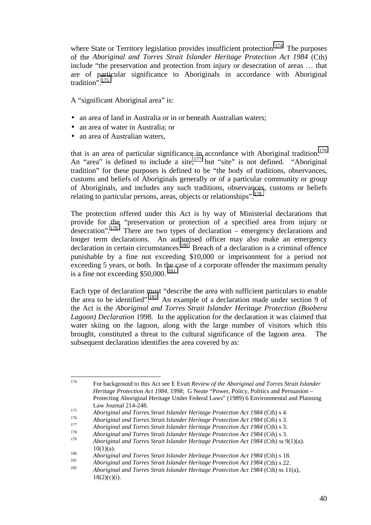where State or Territory legislation provides insufficient protection.<sup>174</sup> The purposes of the *Aboriginal and Torres Strait Islander Heritage Protection Act 1984* (Cth) include "the preservation and protection from injury or desecration of areas … that are of particular significance to Aboriginals in accordance with Aboriginal tradition".175

A "significant Aboriginal area" is:

- an area of land in Australia or in or beneath Australian waters;
- an area of water in Australia: or
- an area of Australian waters.

that is an area of particular significance in accordance with Aboriginal tradition.<sup>176</sup> An "area" is defined to include a site, $177$  but "site" is not defined. "Aboriginal" tradition" for these purposes is defined to be "the body of traditions, observances, customs and beliefs of Aboriginals generally or of a particular community or group of Aboriginals, and includes any such traditions, observances, customs or beliefs relating to particular persons, areas, objects or relationships".<sup>178</sup>

The protection offered under this Act is by way of Ministerial declarations that provide for the "preservation or protection of a specified area from injury or desecration".<sup>179</sup> There are two types of declaration – emergency declarations and longer term declarations. An authorised officer may also make an emergency declaration in certain circumstances.<sup>180</sup> Breach of a declaration is a criminal offence punishable by a fine not exceeding \$10,000 or imprisonment for a period not exceeding 5 years, or both. In the case of a corporate offender the maximum penalty is a fine not exceeding  $$50,000$ . <sup>181</sup>

Each type of declaration must "describe the area with sufficient particulars to enable the area to be identified".<sup>182</sup> An example of a declaration made under section 9 of the Act is the *Aboriginal and Torres Strait Islander Heritage Protection (Boobera Lagoon) Declaration* 1998. In the application for the declaration it was claimed that water skiing on the lagoon, along with the large number of visitors which this brought, constituted a threat to the cultural significance of the lagoon area. The subsequent declaration identifies the area covered by as:

174 174 For background to this Act see E Evatt *Review of the Aboriginal and Torres Strait Islander Heritage Protection Act 1984*, 1998; G Neate "Power, Policy, Politics and Persuasion – Protecting Aboriginal Heritage Under Federal Laws" (1989) 6 Environmental and Planning

Law Journal 214-248.<br>
Moriginal and Torres Strait Islander Heritage Protection Act 1984 (Cth) s 4.<br>
Aboriginal and Torres Strait Islander Heritage Protection Act 1984 (Cth) s 3.<br>
Aboriginal and Torres Strait Islander Heri

<sup>179</sup> *Aboriginal and Torres Strait Islander Heritage Protection Act 1984* (Cth) ss 9(1)(a).

<sup>&</sup>lt;sup>180</sup> 10(1)(a).<br> *Aboriginal and Torres Strait Islander Heritage Protection Act 1984* (Cth) s 18.<br> *Aboriginal and Torres Strait Islander Heritage Protection Act 1984* (Cth) s 22.<br> *Aboriginal and Torres Strait Islander H*  $18(2)(c)(i)$ .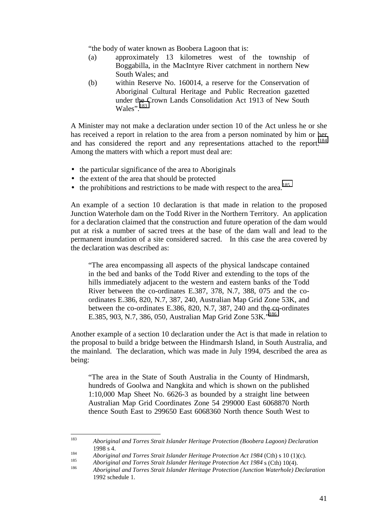"the body of water known as Boobera Lagoon that is:

- (a) approximately 13 kilometres west of the township of Boggabilla, in the MacIntyre River catchment in northern New South Wales; and
- (b) within Reserve No. 160014, a reserve for the Conservation of Aboriginal Cultural Heritage and Public Recreation gazetted under the Crown Lands Consolidation Act 1913 of New South Wales". $183$

A Minister may not make a declaration under section 10 of the Act unless he or she has received a report in relation to the area from a person nominated by him or her and has considered the report and any representations attached to the report.<sup>184</sup> Among the matters with which a report must deal are:

- the particular significance of the area to Aboriginals
- the extent of the area that should be protected
- the prohibitions and restrictions to be made with respect to the area.<sup>185</sup>

An example of a section 10 declaration is that made in relation to the proposed Junction Waterhole dam on the Todd River in the Northern Territory. An application for a declaration claimed that the construction and future operation of the dam would put at risk a number of sacred trees at the base of the dam wall and lead to the permanent inundation of a site considered sacred. In this case the area covered by the declaration was described as:

"The area encompassing all aspects of the physical landscape contained in the bed and banks of the Todd River and extending to the tops of the hills immediately adjacent to the western and eastern banks of the Todd River between the co-ordinates E.387, 378, N.7, 388, 075 and the coordinates E.386, 820, N.7, 387, 240, Australian Map Grid Zone 53K, and between the co-ordinates E.386, 820, N.7, 387, 240 and the co-ordinates E.385, 903, N.7, 386, 050, Australian Map Grid Zone 53K."<sup>186</sup>

Another example of a section 10 declaration under the Act is that made in relation to the proposal to build a bridge between the Hindmarsh Island, in South Australia, and the mainland. The declaration, which was made in July 1994, described the area as being:

"The area in the State of South Australia in the County of Hindmarsh, hundreds of Goolwa and Nangkita and which is shown on the published 1:10,000 Map Sheet No. 6626-3 as bounded by a straight line between Australian Map Grid Coordinates Zone 54 299000 East 6068870 North thence South East to 299650 East 6068360 North thence South West to

<sup>183</sup> <sup>183</sup> *Aboriginal and Torres Strait Islander Heritage Protection (Boobera Lagoon) Declaration* 1998 s 4.<br>
Aboriginal and Torres Strait Islander Heritage Protection Act 1984 (Cth) s 10 (1)(c).<br>
Aboriginal and Torres Strait Islander Heritage Protection Act 1984 s (Cth) 10(4).<br>
Aboriginal and Torres Strait Islander He

<sup>1992</sup> schedule 1.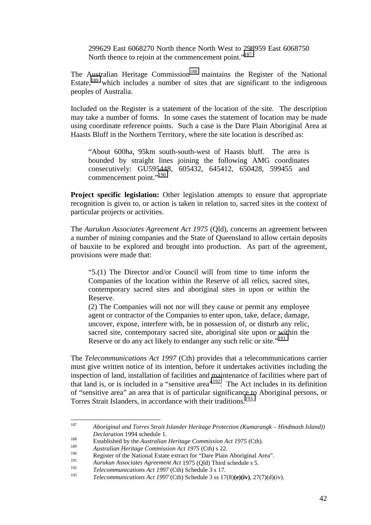299629 East 6068270 North thence North West to 298959 East 6068750 North thence to rejoin at the commencement point."<sup>187</sup>

The Australian Heritage Commission<sup>188</sup> maintains the Register of the National Estate, $189$  which includes a number of sites that are significant to the indigenous peoples of Australia.

Included on the Register is a statement of the location of the site. The description may take a number of forms. In some cases the statement of location may be made using coordinate reference points. Such a case is the Dare Plain Aboriginal Area at Haasts Bluff in the Northern Territory, where the site location is described as:

"About 600ha, 95km south-south-west of Haasts bluff. The area is bounded by straight lines joining the following AMG coordinates consecutively: GU595448, 605432, 645412, 650428, 599455 and commencement point."<sup>190</sup>

**Project specific legislation:** Other legislation attempts to ensure that appropriate recognition is given to, or action is taken in relation to, sacred sites in the context of particular projects or activities.

The *Aurukun Associates Agreement Act 1975* (Qld), concerns an agreement between a number of mining companies and the State of Queensland to allow certain deposits of bauxite to be explored and brought into production. As part of the agreement, provisions were made that:

"5.(1) The Director and/or Council will from time to time inform the Companies of the location within the Reserve of all relics, sacred sites, contemporary sacred sites and aboriginal sites in upon or within the Reserve.

(2) The Companies will not nor will they cause or permit any employee agent or contractor of the Companies to enter upon, take, deface, damage, uncover, expose, interfere with, be in possession of, or disturb any relic, sacred site, contemporary sacred site, aboriginal site upon or within the Reserve or do any act likely to endanger any such relic or site."<sup>191</sup>

The *Telecommunications Act 1997* (Cth) provides that a telecommunications carrier must give written notice of its intention, before it undertakes activities including the inspection of land, installation of facilities and maintenance of facilities where part of that land is, or is included in a "sensitive area"192.The Act includes in its definition of "sensitive area" an area that is of particular significance to Aboriginal persons, or Torres Strait Islanders, in accordance with their traditions.193

187 <sup>187</sup> *Aboriginal and Torres Strait Islander Heritage Protection (Kumarangk – Hindmash Island)) Declaration* 1994 schedule 1.<br>
Established by the *Australian Heritage Commission Act* 1975 (Cth).<br>
<sup>189</sup>

<sup>189</sup> *Australian Heritage Commission Act 1975* (Cth) s 22.

<sup>&</sup>lt;sup>190</sup> Register of the National Estate extract for "Dare Plain Aboriginal Area".

<sup>191</sup> *Aurukun Associates Agreement Act* 1975 (Qld) Third schedule s 5.

<sup>&</sup>lt;sup>192</sup> *Telecommunications Act 1997* (Cth) Schedule 3 s 17.

<sup>193</sup> *Telecommunications Act 1997* (Cth) Schedule 3 ss 17(8)**(e)(iv)**, 27(7)(d)(iv).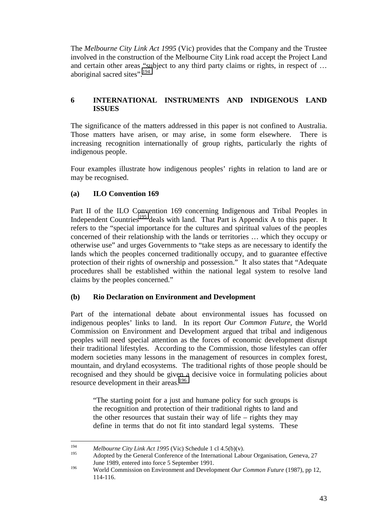The *Melbourne City Link Act 1995* (Vic) provides that the Company and the Trustee involved in the construction of the Melbourne City Link road accept the Project Land and certain other areas "subject to any third party claims or rights, in respect of … aboriginal sacred sites".<sup>194</sup>

# **6 INTERNATIONAL INSTRUMENTS AND INDIGENOUS LAND ISSUES**

The significance of the matters addressed in this paper is not confined to Australia. Those matters have arisen, or may arise, in some form elsewhere. There is increasing recognition internationally of group rights, particularly the rights of indigenous people.

Four examples illustrate how indigenous peoples' rights in relation to land are or may be recognised.

# **(a) ILO Convention 169**

Part II of the ILO Convention 169 concerning Indigenous and Tribal Peoples in Independent Countries<sup>195</sup> deals with land. That Part is Appendix A to this paper. It refers to the "special importance for the cultures and spiritual values of the peoples concerned of their relationship with the lands or territories … which they occupy or otherwise use" and urges Governments to "take steps as are necessary to identify the lands which the peoples concerned traditionally occupy, and to guarantee effective protection of their rights of ownership and possession." It also states that "Adequate procedures shall be established within the national legal system to resolve land claims by the peoples concerned."

# **(b) Rio Declaration on Environment and Development**

Part of the international debate about environmental issues has focussed on indigenous peoples' links to land. In its report *Our Common Future*, the World Commission on Environment and Development argued that tribal and indigenous peoples will need special attention as the forces of economic development disrupt their traditional lifestyles. According to the Commission, those lifestyles can offer modern societies many lessons in the management of resources in complex forest, mountain, and dryland ecosystems. The traditional rights of those people should be recognised and they should be given a decisive voice in formulating policies about resource development in their areas.<sup>196</sup>

"The starting point for a just and humane policy for such groups is the recognition and protection of their traditional rights to land and the other resources that sustain their way of life – rights they may define in terms that do not fit into standard legal systems. These

<sup>194</sup> <sup>194</sup> *Melbourne City Link Act 1995* (Vic) Schedule 1 cl 4.5(b)(v).

Adopted by the General Conference of the International Labour Organisation, Geneva, 27 June 1989, entered into force 5 September 1991.

<sup>196</sup> World Commission on Environment and Development *Our Common Future* (1987), pp 12, 114-116.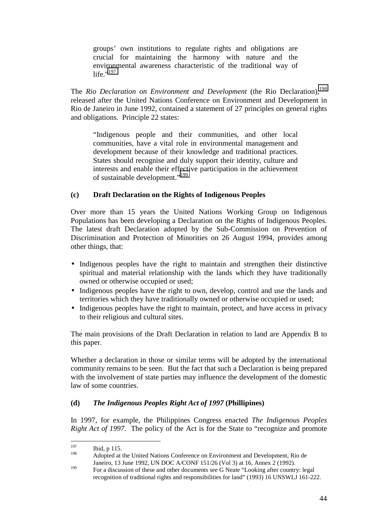groups' own institutions to regulate rights and obligations are crucial for maintaining the harmony with nature and the environmental awareness characteristic of the traditional way of life." $197$ 

The *Rio Declaration on Environment and Development* (the Rio Declaration),<sup>198</sup> released after the United Nations Conference on Environment and Development in Rio de Janeiro in June 1992, contained a statement of 27 principles on general rights and obligations. Principle 22 states:

"Indigenous people and their communities, and other local communities, have a vital role in environmental management and development because of their knowledge and traditional practices. States should recognise and duly support their identity, culture and interests and enable their effective participation in the achievement of sustainable development."<sup>199</sup>

### **(c) Draft Declaration on the Rights of Indigenous Peoples**

Over more than 15 years the United Nations Working Group on Indigenous Populations has been developing a Declaration on the Rights of Indigenous Peoples. The latest draft Declaration adopted by the Sub-Commission on Prevention of Discrimination and Protection of Minorities on 26 August 1994, provides among other things, that:

- Indigenous peoples have the right to maintain and strengthen their distinctive spiritual and material relationship with the lands which they have traditionally owned or otherwise occupied or used;
- Indigenous peoples have the right to own, develop, control and use the lands and territories which they have traditionally owned or otherwise occupied or used;
- Indigenous peoples have the right to maintain, protect, and have access in privacy to their religious and cultural sites.

The main provisions of the Draft Declaration in relation to land are Appendix B to this paper.

Whether a declaration in those or similar terms will be adopted by the international community remains to be seen. But the fact that such a Declaration is being prepared with the involvement of state parties may influence the development of the domestic law of some countries.

# **(d)** *The Indigenous Peoples Right Act of 1997* **(Phillipines)**

In 1997, for example, the Philippines Congress enacted *The Indigenous Peoples Right Act of 1997.* The policy of the Act is for the State to "recognize and promote

<sup>197</sup>  $\frac{197}{198}$  Ibid, p 115.

Adopted at the United Nations Conference on Environment and Development, Rio de Janeiro, 13 June 1992, UN DOC A/CONF 151/26 (Vol 3) at 16, Annex 2 (1992).

<sup>&</sup>lt;sup>199</sup> For a discussion of these and other documents see G Neate "Looking after country: legal" recognition of traditional rights and responsibilities for land" (1993) 16 UNSWLJ 161-222.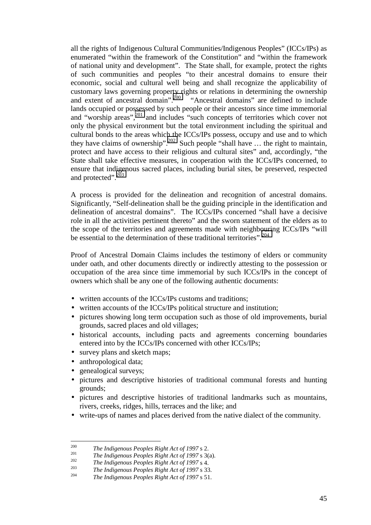all the rights of Indigenous Cultural Communities/Indigenous Peoples" (ICCs/IPs) as enumerated "within the framework of the Constitution" and "within the framework of national unity and development". The State shall, for example, protect the rights of such communities and peoples "to their ancestral domains to ensure their economic, social and cultural well being and shall recognize the applicability of customary laws governing property rights or relations in determining the ownership and extent of ancestral domain".<sup>200</sup> "Ancestral domains" are defined to include lands occupied or possessed by such people or their ancestors since time immemorial and "worship areas",<sup>201</sup> and includes "such concepts of territories which cover not only the physical environment but the total environment including the spiritual and cultural bonds to the areas which the ICCs/IPs possess, occupy and use and to which they have claims of ownership".<sup>202</sup> Such people "shall have ... the right to maintain, protect and have access to their religious and cultural sites" and, accordingly, "the State shall take effective measures, in cooperation with the ICCs/IPs concerned, to ensure that indigenous sacred places, including burial sites, be preserved, respected and protected".<sup>203</sup>

A process is provided for the delineation and recognition of ancestral domains. Significantly, "Self-delineation shall be the guiding principle in the identification and delineation of ancestral domains". The ICCs/IPs concerned "shall have a decisive role in all the activities pertinent thereto" and the sworn statement of the elders as to the scope of the territories and agreements made with neighbouring ICCs/IPs "will be essential to the determination of these traditional territories".<sup>204</sup>

Proof of Ancestral Domain Claims includes the testimony of elders or community under oath, and other documents directly or indirectly attesting to the possession or occupation of the area since time immemorial by such ICCs/IPs in the concept of owners which shall be any one of the following authentic documents:

- written accounts of the ICCs/IPs customs and traditions;
- written accounts of the ICCs/IPs political structure and institution;
- pictures showing long term occupation such as those of old improvements, burial grounds, sacred places and old villages;
- historical accounts, including pacts and agreements concerning boundaries entered into by the ICCs/IPs concerned with other ICCs/IPs;
- survey plans and sketch maps;
- anthropological data;
- genealogical surveys;
- pictures and descriptive histories of traditional communal forests and hunting grounds;
- pictures and descriptive histories of traditional landmarks such as mountains, rivers, creeks, ridges, hills, terraces and the like; and
- write-ups of names and places derived from the native dialect of the community.

<sup>200</sup> 

<sup>&</sup>lt;sup>200</sup> The Indigenous Peoples Right Act of 1997 s 2.<br>
<sup>201</sup> The Indigenous Peoples Right Act of 1997 s 3(a).<br>
<sup>202</sup> The Indigenous Peoples Right Act of 1997 s 4.<br>
<sup>203</sup> The Indigenous Peoples Right Act of 1997 s 33.<br>
<sup>204</sup>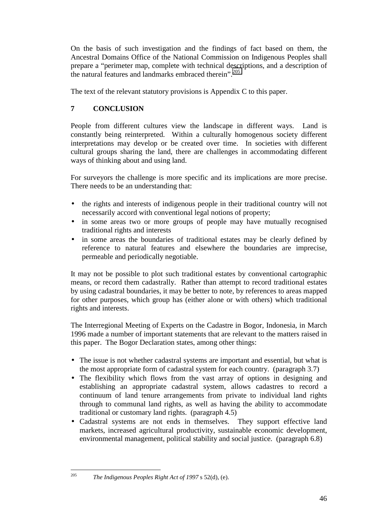On the basis of such investigation and the findings of fact based on them, the Ancestral Domains Office of the National Commission on Indigenous Peoples shall prepare a "perimeter map, complete with technical descriptions, and a description of the natural features and landmarks embraced therein".<sup>205</sup>

The text of the relevant statutory provisions is Appendix C to this paper.

# **7 CONCLUSION**

People from different cultures view the landscape in different ways. Land is constantly being reinterpreted. Within a culturally homogenous society different interpretations may develop or be created over time. In societies with different cultural groups sharing the land, there are challenges in accommodating different ways of thinking about and using land.

For surveyors the challenge is more specific and its implications are more precise. There needs to be an understanding that:

- the rights and interests of indigenous people in their traditional country will not necessarily accord with conventional legal notions of property;
- in some areas two or more groups of people may have mutually recognised traditional rights and interests
- in some areas the boundaries of traditional estates may be clearly defined by reference to natural features and elsewhere the boundaries are imprecise, permeable and periodically negotiable.

It may not be possible to plot such traditional estates by conventional cartographic means, or record them cadastrally. Rather than attempt to record traditional estates by using cadastral boundaries, it may be better to note, by references to areas mapped for other purposes, which group has (either alone or with others) which traditional rights and interests.

The Interregional Meeting of Experts on the Cadastre in Bogor, Indonesia, in March 1996 made a number of important statements that are relevant to the matters raised in this paper. The Bogor Declaration states, among other things:

- The issue is not whether cadastral systems are important and essential, but what is the most appropriate form of cadastral system for each country. (paragraph 3.7)
- The flexibility which flows from the vast array of options in designing and establishing an appropriate cadastral system, allows cadastres to record a continuum of land tenure arrangements from private to individual land rights through to communal land rights, as well as having the ability to accommodate traditional or customary land rights. (paragraph 4.5)
- Cadastral systems are not ends in themselves. They support effective land markets, increased agricultural productivity, sustainable economic development, environmental management, political stability and social justice. (paragraph 6.8)

205

The Indigenous Peoples Right Act of 1997 s 52(d), (e).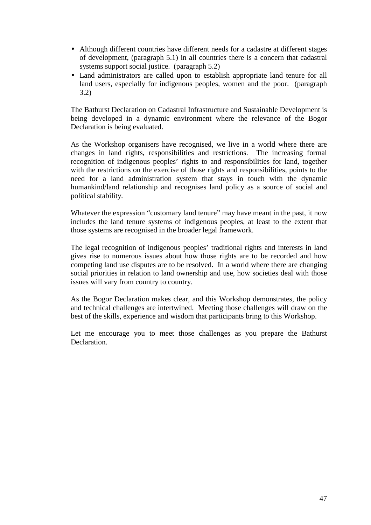- Although different countries have different needs for a cadastre at different stages of development, (paragraph 5.1) in all countries there is a concern that cadastral systems support social justice. (paragraph 5.2)
- Land administrators are called upon to establish appropriate land tenure for all land users, especially for indigenous peoples, women and the poor. (paragraph 3.2)

The Bathurst Declaration on Cadastral Infrastructure and Sustainable Development is being developed in a dynamic environment where the relevance of the Bogor Declaration is being evaluated.

As the Workshop organisers have recognised, we live in a world where there are changes in land rights, responsibilities and restrictions. The increasing formal recognition of indigenous peoples' rights to and responsibilities for land, together with the restrictions on the exercise of those rights and responsibilities, points to the need for a land administration system that stays in touch with the dynamic humankind/land relationship and recognises land policy as a source of social and political stability.

Whatever the expression "customary land tenure" may have meant in the past, it now includes the land tenure systems of indigenous peoples, at least to the extent that those systems are recognised in the broader legal framework.

The legal recognition of indigenous peoples' traditional rights and interests in land gives rise to numerous issues about how those rights are to be recorded and how competing land use disputes are to be resolved. In a world where there are changing social priorities in relation to land ownership and use, how societies deal with those issues will vary from country to country.

As the Bogor Declaration makes clear, and this Workshop demonstrates, the policy and technical challenges are intertwined. Meeting those challenges will draw on the best of the skills, experience and wisdom that participants bring to this Workshop.

Let me encourage you to meet those challenges as you prepare the Bathurst Declaration.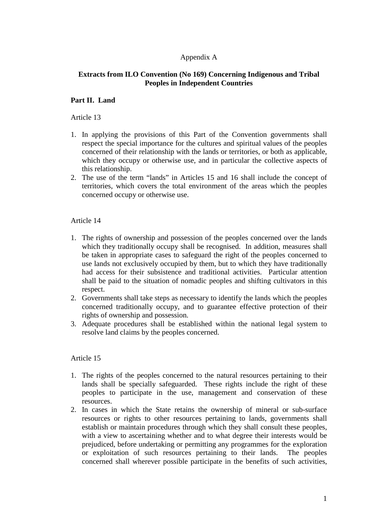# Appendix A

# **Extracts from ILO Convention (No 169) Concerning Indigenous and Tribal Peoples in Independent Countries**

## **Part II. Land**

Article 13

- 1. In applying the provisions of this Part of the Convention governments shall respect the special importance for the cultures and spiritual values of the peoples concerned of their relationship with the lands or territories, or both as applicable, which they occupy or otherwise use, and in particular the collective aspects of this relationship.
- 2. The use of the term "lands" in Articles 15 and 16 shall include the concept of territories, which covers the total environment of the areas which the peoples concerned occupy or otherwise use.

#### Article 14

- 1. The rights of ownership and possession of the peoples concerned over the lands which they traditionally occupy shall be recognised. In addition, measures shall be taken in appropriate cases to safeguard the right of the peoples concerned to use lands not exclusively occupied by them, but to which they have traditionally had access for their subsistence and traditional activities. Particular attention shall be paid to the situation of nomadic peoples and shifting cultivators in this respect.
- 2. Governments shall take steps as necessary to identify the lands which the peoples concerned traditionally occupy, and to guarantee effective protection of their rights of ownership and possession.
- 3. Adequate procedures shall be established within the national legal system to resolve land claims by the peoples concerned.

#### Article 15

- 1. The rights of the peoples concerned to the natural resources pertaining to their lands shall be specially safeguarded. These rights include the right of these peoples to participate in the use, management and conservation of these resources.
- 2. In cases in which the State retains the ownership of mineral or sub-surface resources or rights to other resources pertaining to lands, governments shall establish or maintain procedures through which they shall consult these peoples, with a view to ascertaining whether and to what degree their interests would be prejudiced, before undertaking or permitting any programmes for the exploration or exploitation of such resources pertaining to their lands. The peoples concerned shall wherever possible participate in the benefits of such activities,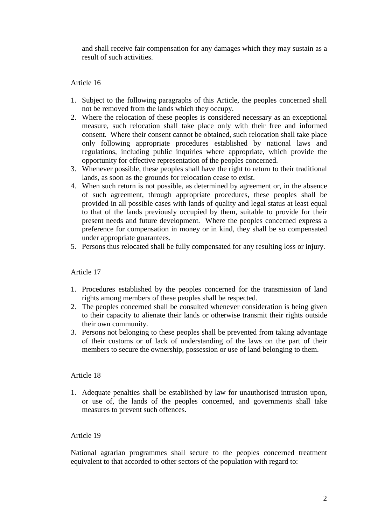and shall receive fair compensation for any damages which they may sustain as a result of such activities.

# Article 16

- 1. Subject to the following paragraphs of this Article, the peoples concerned shall not be removed from the lands which they occupy.
- 2. Where the relocation of these peoples is considered necessary as an exceptional measure, such relocation shall take place only with their free and informed consent. Where their consent cannot be obtained, such relocation shall take place only following appropriate procedures established by national laws and regulations, including public inquiries where appropriate, which provide the opportunity for effective representation of the peoples concerned.
- 3. Whenever possible, these peoples shall have the right to return to their traditional lands, as soon as the grounds for relocation cease to exist.
- 4. When such return is not possible, as determined by agreement or, in the absence of such agreement, through appropriate procedures, these peoples shall be provided in all possible cases with lands of quality and legal status at least equal to that of the lands previously occupied by them, suitable to provide for their present needs and future development. Where the peoples concerned express a preference for compensation in money or in kind, they shall be so compensated under appropriate guarantees.
- 5. Persons thus relocated shall be fully compensated for any resulting loss or injury.

# Article 17

- 1. Procedures established by the peoples concerned for the transmission of land rights among members of these peoples shall be respected.
- 2. The peoples concerned shall be consulted whenever consideration is being given to their capacity to alienate their lands or otherwise transmit their rights outside their own community.
- 3. Persons not belonging to these peoples shall be prevented from taking advantage of their customs or of lack of understanding of the laws on the part of their members to secure the ownership, possession or use of land belonging to them.

# Article 18

1. Adequate penalties shall be established by law for unauthorised intrusion upon, or use of, the lands of the peoples concerned, and governments shall take measures to prevent such offences.

# Article 19

National agrarian programmes shall secure to the peoples concerned treatment equivalent to that accorded to other sectors of the population with regard to: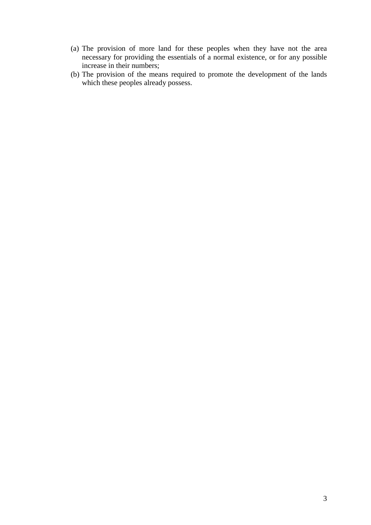- (a) The provision of more land for these peoples when they have not the area necessary for providing the essentials of a normal existence, or for any possible increase in their numbers;
- (b) The provision of the means required to promote the development of the lands which these peoples already possess.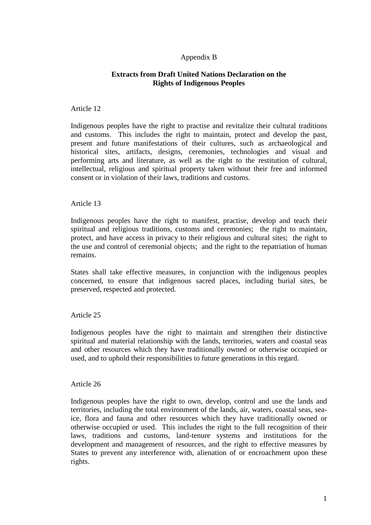## Appendix B

## **Extracts from Draft United Nations Declaration on the Rights of Indigenous Peoples**

#### Article 12

Indigenous peoples have the right to practise and revitalize their cultural traditions and customs. This includes the right to maintain, protect and develop the past, present and future manifestations of their cultures, such as archaeological and historical sites, artifacts, designs, ceremonies, technologies and visual and performing arts and literature, as well as the right to the restitution of cultural, intellectual, religious and spiritual property taken without their free and informed consent or in violation of their laws, traditions and customs.

#### Article 13

Indigenous peoples have the right to manifest, practise, develop and teach their spiritual and religious traditions, customs and ceremonies; the right to maintain, protect, and have access in privacy to their religious and cultural sites; the right to the use and control of ceremonial objects; and the right to the repatriation of human remains.

States shall take effective measures, in conjunction with the indigenous peoples concerned, to ensure that indigenous sacred places, including burial sites, be preserved, respected and protected.

#### Article 25

Indigenous peoples have the right to maintain and strengthen their distinctive spiritual and material relationship with the lands, territories, waters and coastal seas and other resources which they have traditionally owned or otherwise occupied or used, and to uphold their responsibilities to future generations in this regard.

#### Article 26

Indigenous peoples have the right to own, develop, control and use the lands and territories, including the total environment of the lands, air, waters, coastal seas, seaice, flora and fauna and other resources which they have traditionally owned or otherwise occupied or used. This includes the right to the full recognition of their laws, traditions and customs, land-tenure systems and institutions for the development and management of resources, and the right to effective measures by States to prevent any interference with, alienation of or encroachment upon these rights.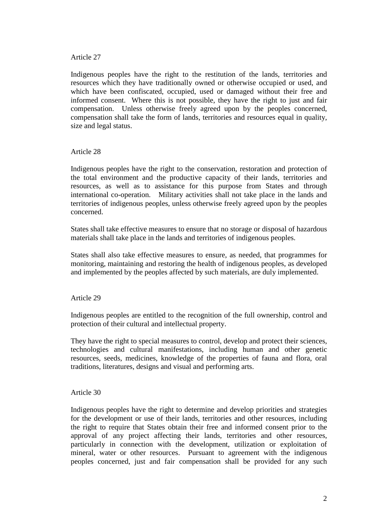#### Article 27

Indigenous peoples have the right to the restitution of the lands, territories and resources which they have traditionally owned or otherwise occupied or used, and which have been confiscated, occupied, used or damaged without their free and informed consent. Where this is not possible, they have the right to just and fair compensation. Unless otherwise freely agreed upon by the peoples concerned, compensation shall take the form of lands, territories and resources equal in quality, size and legal status.

#### Article 28

Indigenous peoples have the right to the conservation, restoration and protection of the total environment and the productive capacity of their lands, territories and resources, as well as to assistance for this purpose from States and through international co-operation. Military activities shall not take place in the lands and territories of indigenous peoples, unless otherwise freely agreed upon by the peoples concerned.

States shall take effective measures to ensure that no storage or disposal of hazardous materials shall take place in the lands and territories of indigenous peoples.

States shall also take effective measures to ensure, as needed, that programmes for monitoring, maintaining and restoring the health of indigenous peoples, as developed and implemented by the peoples affected by such materials, are duly implemented.

#### Article 29

Indigenous peoples are entitled to the recognition of the full ownership, control and protection of their cultural and intellectual property.

They have the right to special measures to control, develop and protect their sciences, technologies and cultural manifestations, including human and other genetic resources, seeds, medicines, knowledge of the properties of fauna and flora, oral traditions, literatures, designs and visual and performing arts.

#### Article 30

Indigenous peoples have the right to determine and develop priorities and strategies for the development or use of their lands, territories and other resources, including the right to require that States obtain their free and informed consent prior to the approval of any project affecting their lands, territories and other resources, particularly in connection with the development, utilization or exploitation of mineral, water or other resources. Pursuant to agreement with the indigenous peoples concerned, just and fair compensation shall be provided for any such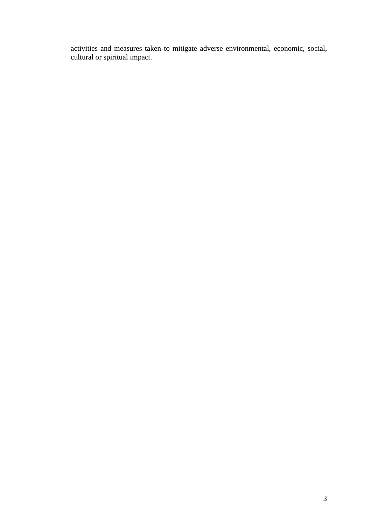activities and measures taken to mitigate adverse environmental, economic, social, cultural or spiritual impact.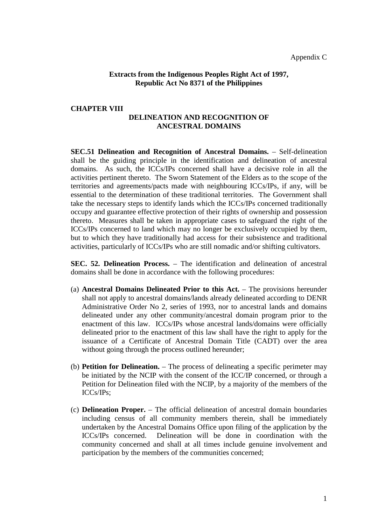### **Extracts from the Indigenous Peoples Right Act of 1997, Republic Act No 8371 of the Philippines**

#### **CHAPTER VIII DELINEATION AND RECOGNITION OF ANCESTRAL DOMAINS**

**SEC.51 Delineation and Recognition of Ancestral Domains.** – Self-delineation shall be the guiding principle in the identification and delineation of ancestral domains. As such, the ICCs/IPs concerned shall have a decisive role in all the activities pertinent thereto. The Sworn Statement of the Elders as to the scope of the territories and agreements/pacts made with neighbouring ICCs/IPs, if any, will be essential to the determination of these traditional territories. The Government shall take the necessary steps to identify lands which the ICCs/IPs concerned traditionally occupy and guarantee effective protection of their rights of ownership and possession thereto. Measures shall be taken in appropriate cases to safeguard the right of the ICCs/IPs concerned to land which may no longer be exclusively occupied by them, but to which they have traditionally had access for their subsistence and traditional activities, particularly of ICCs/IPs who are still nomadic and/or shifting cultivators.

**SEC. 52. Delineation Process.** – The identification and delineation of ancestral domains shall be done in accordance with the following procedures:

- (a) **Ancestral Domains Delineated Prior to this Act.** The provisions hereunder shall not apply to ancestral domains/lands already delineated according to DENR Administrative Order No 2, series of 1993, nor to ancestral lands and domains delineated under any other community/ancestral domain program prior to the enactment of this law. ICCs/IPs whose ancestral lands/domains were officially delineated prior to the enactment of this law shall have the right to apply for the issuance of a Certificate of Ancestral Domain Title (CADT) over the area without going through the process outlined hereunder;
- (b) **Petition for Delineation.** The process of delineating a specific perimeter may be initiated by the NCIP with the consent of the ICC/IP concerned, or through a Petition for Delineation filed with the NCIP, by a majority of the members of the ICCs/IPs;
- (c) **Delineation Proper.** The official delineation of ancestral domain boundaries including census of all community members therein, shall be immediately undertaken by the Ancestral Domains Office upon filing of the application by the ICCs/IPs concerned. Delineation will be done in coordination with the community concerned and shall at all times include genuine involvement and participation by the members of the communities concerned;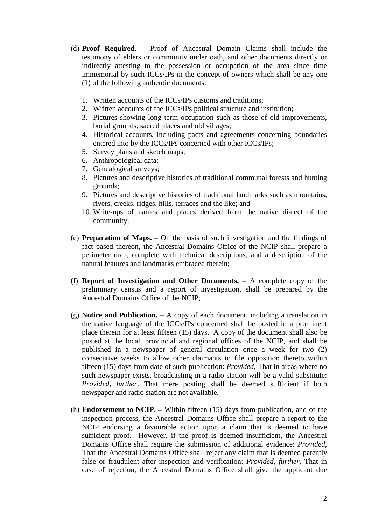- (d) **Proof Required.** Proof of Ancestral Domain Claims shall include the testimony of elders or community under oath, and other documents directly or indirectly attesting to the possession or occupation of the area since time immemorial by such ICCs/IPs in the concept of owners which shall be any one (1) of the following authentic documents:
	- 1. Written accounts of the ICCs/IPs customs and traditions;
	- 2. Written accounts of the ICCs/IPs political structure and institution;
	- 3. Pictures showing long term occupation such as those of old improvements, burial grounds, sacred places and old villages;
	- 4. Historical accounts, including pacts and agreements concerning boundaries entered into by the ICCs/IPs concerned with other ICCs/IPs;
	- 5. Survey plans and sketch maps;
	- 6. Anthropological data;
	- 7. Genealogical surveys;
	- 8. Pictures and descriptive histories of traditional communal forests and hunting grounds;
	- 9. Pictures and descriptive histories of traditional landmarks such as mountains, rivers, creeks, ridges, hills, terraces and the like; and
	- 10. Write-ups of names and places derived from the native dialect of the community.
- (e) **Preparation of Maps.** On the basis of such investigation and the findings of fact based thereon, the Ancestral Domains Office of the NCIP shall prepare a perimeter map, complete with technical descriptions, and a description of the natural features and landmarks embraced therein;
- (f) **Report of Investigation and Other Documents.** A complete copy of the preliminary census and a report of investigation, shall be prepared by the Ancestral Domains Office of the NCIP;
- (g) **Notice and Publication.** A copy of each document, including a translation in the native language of the ICCs/IPs concerned shall be posted in a prominent place therein for at least fifteen (15) days. A copy of the document shall also be posted at the local, provincial and regional offices of the NCIP, and shall be published in a newspaper of general circulation once a week for two (2) consecutive weeks to allow other claimants to file opposition thereto within fifteen (15) days from date of such publication: *Provided*, That in areas where no such newspaper exists, broadcasting in a radio station will be a valid substitute: *Provided, further,* That mere posting shall be deemed sufficient if both newspaper and radio station are not available.
- (h) **Endorsement to NCIP.** Within fifteen (15) days from publication, and of the inspection process, the Ancestral Domains Office shall prepare a report to the NCIP endorsing a favourable action upon a claim that is deemed to have sufficient proof. However, if the proof is deemed insufficient, the Ancestral Domains Office shall require the submission of additional evidence: *Provided,* That the Ancestral Domains Office shall reject any claim that is deemed patently false or fraudulent after inspection and verification: *Provided, further,* That in case of rejection, the Ancestral Domains Office shall give the applicant due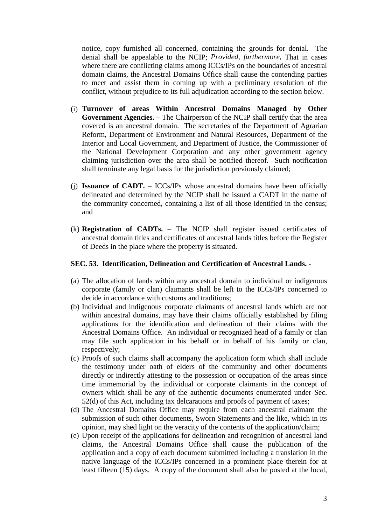notice, copy furnished all concerned, containing the grounds for denial. The denial shall be appealable to the NCIP; *Provided, furthermore,* That in cases where there are conflicting claims among ICCs/IPs on the boundaries of ancestral domain claims, the Ancestral Domains Office shall cause the contending parties to meet and assist them in coming up with a preliminary resolution of the conflict, without prejudice to its full adjudication according to the section below.

- (i) **Turnover of areas Within Ancestral Domains Managed by Other Government Agencies.** – The Chairperson of the NCIP shall certify that the area covered is an ancestral domain. The secretaries of the Department of Agrarian Reform, Department of Environment and Natural Resources, Department of the Interior and Local Government, and Department of Justice, the Commissioner of the National Development Corporation and any other government agency claiming jurisdiction over the area shall be notified thereof. Such notification shall terminate any legal basis for the jurisdiction previously claimed;
- (j) **Issuance of CADT.** ICCs/IPs whose ancestral domains have been officially delineated and determined by the NCIP shall be issued a CADT in the name of the community concerned, containing a list of all those identified in the census; and
- (k) **Registration of CADTs.** The NCIP shall register issued certificates of ancestral domain titles and certificates of ancestral lands titles before the Register of Deeds in the place where the property is situated.

#### **SEC. 53. Identification, Delineation and Certification of Ancestral Lands.** -

- (a) The allocation of lands within any ancestral domain to individual or indigenous corporate (family or clan) claimants shall be left to the ICCs/IPs concerned to decide in accordance with customs and traditions;
- (b) Individual and indigenous corporate claimants of ancestral lands which are not within ancestral domains, may have their claims officially established by filing applications for the identification and delineation of their claims with the Ancestral Domains Office. An individual or recognized head of a family or clan may file such application in his behalf or in behalf of his family or clan, respectively;
- (c) Proofs of such claims shall accompany the application form which shall include the testimony under oath of elders of the community and other documents directly or indirectly attesting to the possession or occupation of the areas since time immemorial by the individual or corporate claimants in the concept of owners which shall be any of the authentic documents enumerated under Sec. 52(d) of this Act, including tax delcarations and proofs of payment of taxes;
- (d) The Ancestral Domains Office may require from each ancestral claimant the submission of such other documents, Sworn Statements and the like, which in its opinion, may shed light on the veracity of the contents of the application/claim;
- (e) Upon receipt of the applications for delineation and recognition of ancestral land claims, the Ancestral Domains Office shall cause the publication of the application and a copy of each document submitted including a translation in the native language of the ICCs/IPs concerned in a prominent place therein for at least fifteen (15) days. A copy of the document shall also be posted at the local,